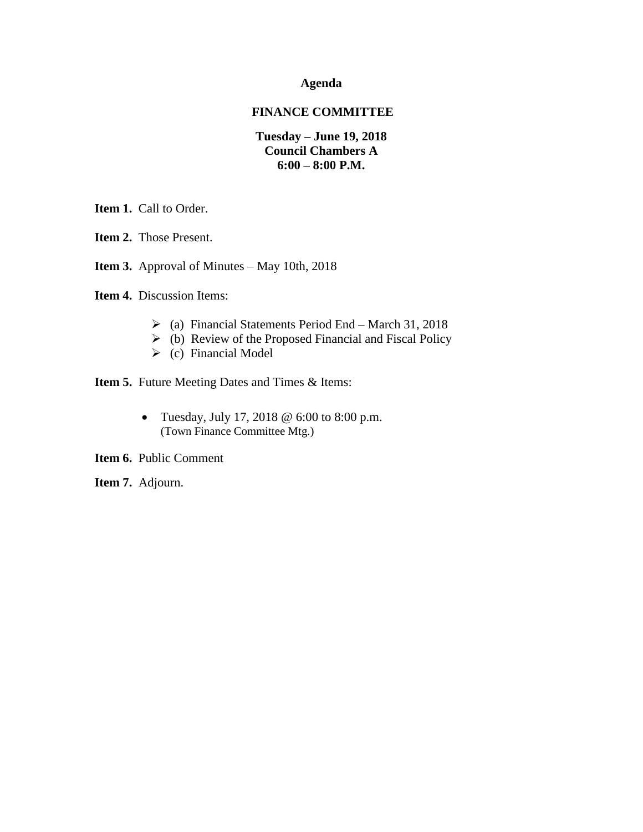### **Agenda**

### **FINANCE COMMITTEE**

### **Tuesday – June 19, 2018 Council Chambers A 6:00 – 8:00 P.M.**

**Item 1.** Call to Order.

**Item 2.** Those Present.

**Item 3.** Approval of Minutes – May 10th, 2018

**Item 4.** Discussion Items:

- $\geq$  (a) Financial Statements Period End March 31, 2018
- $\triangleright$  (b) Review of the Proposed Financial and Fiscal Policy
- $\triangleright$  (c) Financial Model

**Item 5.** Future Meeting Dates and Times & Items:

• Tuesday, July 17, 2018  $@$  6:00 to 8:00 p.m. (Town Finance Committee Mtg.)

**Item 6.** Public Comment

**Item 7.** Adjourn.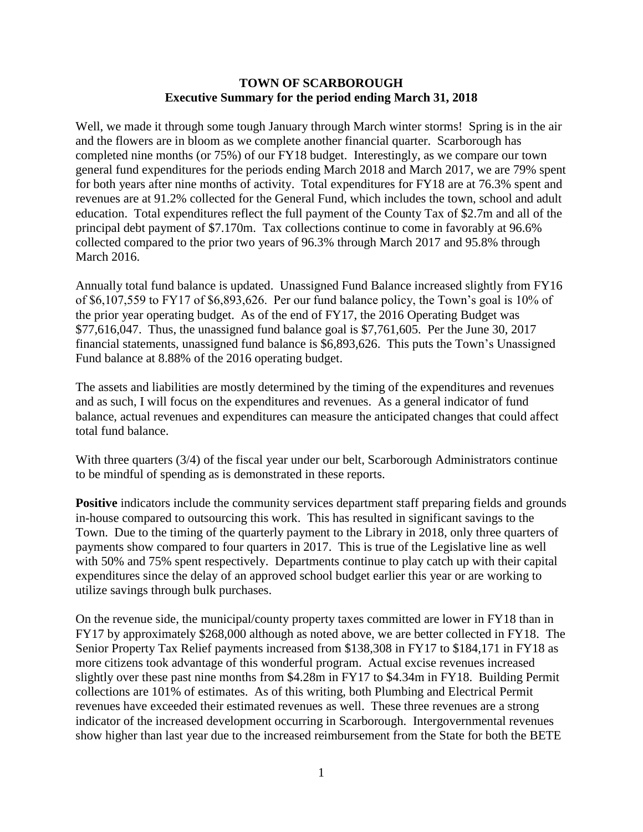### **TOWN OF SCARBOROUGH Executive Summary for the period ending March 31, 2018**

Well, we made it through some tough January through March winter storms! Spring is in the air and the flowers are in bloom as we complete another financial quarter. Scarborough has completed nine months (or 75%) of our FY18 budget. Interestingly, as we compare our town general fund expenditures for the periods ending March 2018 and March 2017, we are 79% spent for both years after nine months of activity. Total expenditures for FY18 are at 76.3% spent and revenues are at 91.2% collected for the General Fund, which includes the town, school and adult education. Total expenditures reflect the full payment of the County Tax of \$2.7m and all of the principal debt payment of \$7.170m. Tax collections continue to come in favorably at 96.6% collected compared to the prior two years of 96.3% through March 2017 and 95.8% through March 2016.

Annually total fund balance is updated. Unassigned Fund Balance increased slightly from FY16 of \$6,107,559 to FY17 of \$6,893,626. Per our fund balance policy, the Town's goal is 10% of the prior year operating budget. As of the end of FY17, the 2016 Operating Budget was \$77,616,047. Thus, the unassigned fund balance goal is \$7,761,605. Per the June 30, 2017 financial statements, unassigned fund balance is \$6,893,626. This puts the Town's Unassigned Fund balance at 8.88% of the 2016 operating budget.

The assets and liabilities are mostly determined by the timing of the expenditures and revenues and as such, I will focus on the expenditures and revenues. As a general indicator of fund balance, actual revenues and expenditures can measure the anticipated changes that could affect total fund balance.

With three quarters (3/4) of the fiscal year under our belt, Scarborough Administrators continue to be mindful of spending as is demonstrated in these reports.

**Positive** indicators include the community services department staff preparing fields and grounds in-house compared to outsourcing this work. This has resulted in significant savings to the Town. Due to the timing of the quarterly payment to the Library in 2018, only three quarters of payments show compared to four quarters in 2017. This is true of the Legislative line as well with 50% and 75% spent respectively. Departments continue to play catch up with their capital expenditures since the delay of an approved school budget earlier this year or are working to utilize savings through bulk purchases.

On the revenue side, the municipal/county property taxes committed are lower in FY18 than in FY17 by approximately \$268,000 although as noted above, we are better collected in FY18. The Senior Property Tax Relief payments increased from \$138,308 in FY17 to \$184,171 in FY18 as more citizens took advantage of this wonderful program. Actual excise revenues increased slightly over these past nine months from \$4.28m in FY17 to \$4.34m in FY18. Building Permit collections are 101% of estimates. As of this writing, both Plumbing and Electrical Permit revenues have exceeded their estimated revenues as well. These three revenues are a strong indicator of the increased development occurring in Scarborough. Intergovernmental revenues show higher than last year due to the increased reimbursement from the State for both the BETE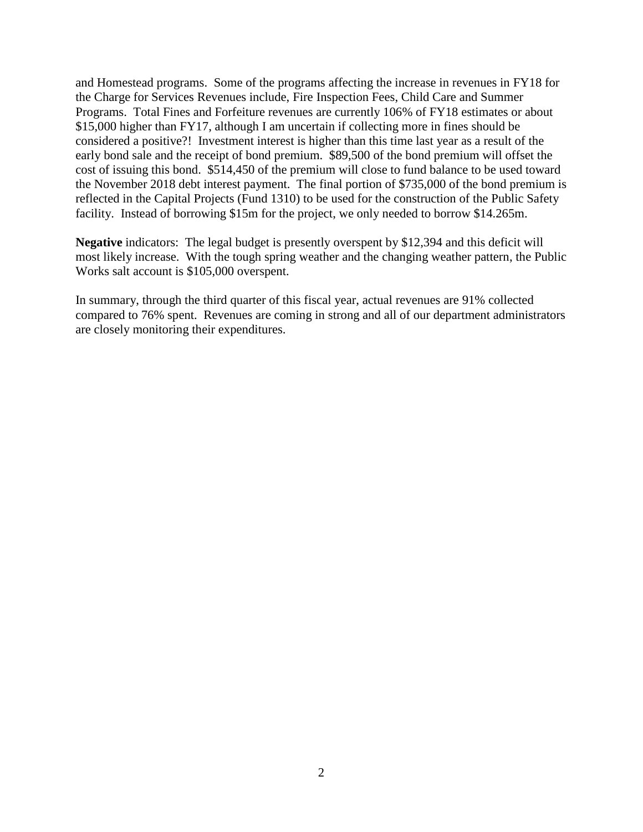and Homestead programs. Some of the programs affecting the increase in revenues in FY18 for the Charge for Services Revenues include, Fire Inspection Fees, Child Care and Summer Programs. Total Fines and Forfeiture revenues are currently 106% of FY18 estimates or about \$15,000 higher than FY17, although I am uncertain if collecting more in fines should be considered a positive?! Investment interest is higher than this time last year as a result of the early bond sale and the receipt of bond premium. \$89,500 of the bond premium will offset the cost of issuing this bond. \$514,450 of the premium will close to fund balance to be used toward the November 2018 debt interest payment. The final portion of \$735,000 of the bond premium is reflected in the Capital Projects (Fund 1310) to be used for the construction of the Public Safety facility. Instead of borrowing \$15m for the project, we only needed to borrow \$14.265m.

**Negative** indicators: The legal budget is presently overspent by \$12,394 and this deficit will most likely increase. With the tough spring weather and the changing weather pattern, the Public Works salt account is \$105,000 overspent.

In summary, through the third quarter of this fiscal year, actual revenues are 91% collected compared to 76% spent. Revenues are coming in strong and all of our department administrators are closely monitoring their expenditures.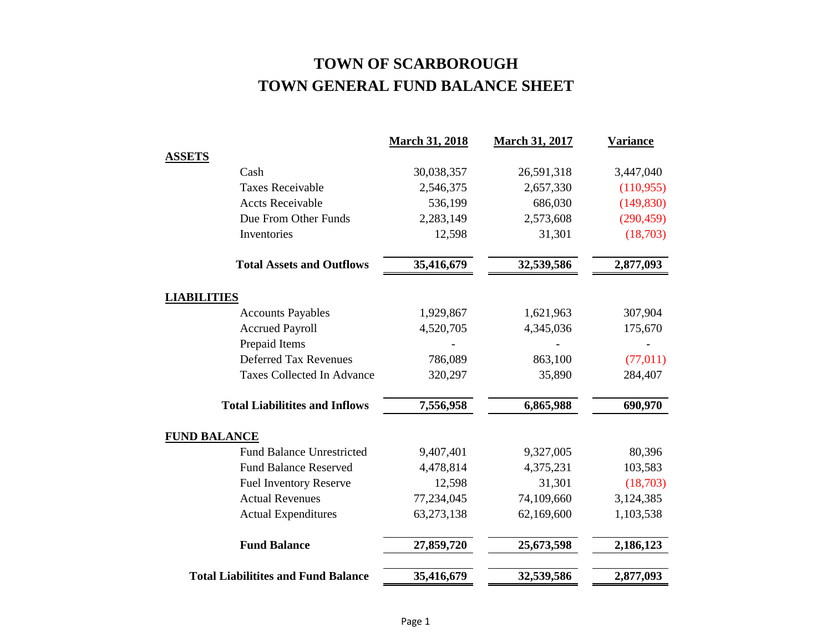### **TOWN OF SCARBOROUGH TOWN GENERAL FUND BALANCE SHEET**

|                     |                                            | <b>March 31, 2018</b> | <b>March 31, 2017</b> | <b>Variance</b> |
|---------------------|--------------------------------------------|-----------------------|-----------------------|-----------------|
| <b>ASSETS</b>       |                                            |                       |                       |                 |
|                     | Cash                                       | 30,038,357            | 26,591,318            | 3,447,040       |
|                     | <b>Taxes Receivable</b>                    | 2,546,375             | 2,657,330             | (110, 955)      |
|                     | <b>Accts Receivable</b>                    | 536,199               | 686,030               | (149, 830)      |
|                     | Due From Other Funds                       | 2,283,149             | 2,573,608             | (290, 459)      |
|                     | Inventories                                | 12,598                | 31,301                | (18,703)        |
|                     | <b>Total Assets and Outflows</b>           | 35,416,679            | 32,539,586            | 2,877,093       |
| <b>LIABILITIES</b>  |                                            |                       |                       |                 |
|                     | <b>Accounts Payables</b>                   | 1,929,867             | 1,621,963             | 307,904         |
|                     | <b>Accrued Payroll</b>                     | 4,520,705             | 4,345,036             | 175,670         |
|                     | Prepaid Items                              |                       |                       |                 |
|                     | <b>Deferred Tax Revenues</b>               | 786,089               | 863,100               | (77, 011)       |
|                     | <b>Taxes Collected In Advance</b>          | 320,297               | 35,890                | 284,407         |
|                     | <b>Total Liabilitites and Inflows</b>      | 7,556,958             | 6,865,988             | 690,970         |
| <b>FUND BALANCE</b> |                                            |                       |                       |                 |
|                     | <b>Fund Balance Unrestricted</b>           | 9,407,401             | 9,327,005             | 80,396          |
|                     | <b>Fund Balance Reserved</b>               | 4,478,814             | 4,375,231             | 103,583         |
|                     | <b>Fuel Inventory Reserve</b>              | 12,598                | 31,301                | (18,703)        |
|                     | <b>Actual Revenues</b>                     | 77,234,045            | 74,109,660            | 3,124,385       |
|                     | <b>Actual Expenditures</b>                 | 63,273,138            | 62,169,600            | 1,103,538       |
|                     | <b>Fund Balance</b>                        | 27,859,720            | 25,673,598            | 2,186,123       |
|                     | <b>Total Liabilitites and Fund Balance</b> | 35,416,679            | 32,539,586            | 2,877,093       |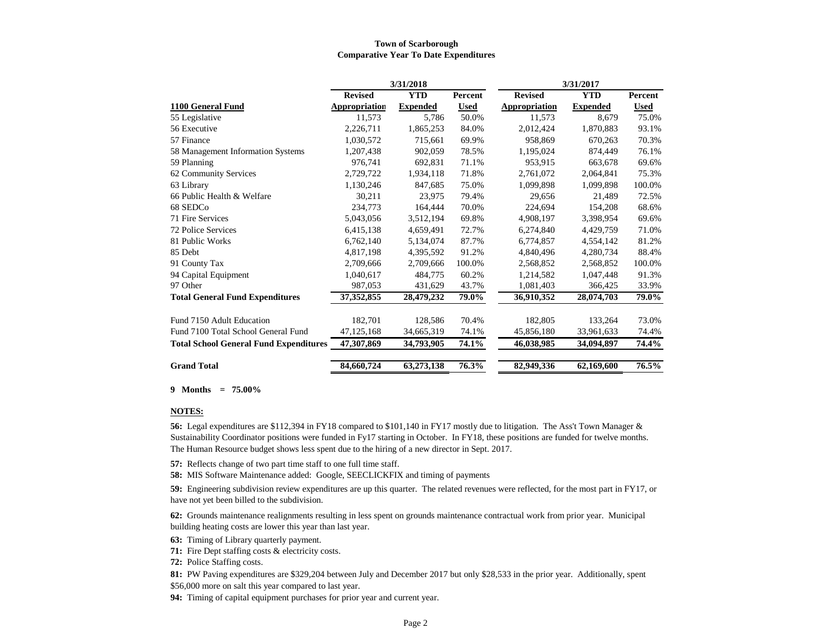#### **Town of Scarborough Comparative Year To Date Expenditures**

|                                               |                | 3/31/2018       |             | 3/31/2017      |                 |             |
|-----------------------------------------------|----------------|-----------------|-------------|----------------|-----------------|-------------|
|                                               | <b>Revised</b> | <b>YTD</b>      | Percent     | <b>Revised</b> | <b>YTD</b>      | Percent     |
| 1100 General Fund                             | Appropriation  | <b>Expended</b> | <b>Used</b> | Appropriation  | <b>Expended</b> | <b>Used</b> |
| 55 Legislative                                | 11,573         | 5,786           | 50.0%       | 11,573         | 8,679           | 75.0%       |
| 56 Executive                                  | 2,226,711      | 1,865,253       | 84.0%       | 2,012,424      | 1,870,883       | 93.1%       |
| 57 Finance                                    | 1,030,572      | 715,661         | 69.9%       | 958,869        | 670,263         | 70.3%       |
| 58 Management Information Systems             | 1,207,438      | 902,059         | 78.5%       | 1,195,024      | 874,449         | 76.1%       |
| 59 Planning                                   | 976.741        | 692.831         | 71.1%       | 953.915        | 663.678         | 69.6%       |
| 62 Community Services                         | 2,729,722      | 1,934,118       | 71.8%       | 2.761.072      | 2.064.841       | 75.3%       |
| 63 Library                                    | 1,130,246      | 847,685         | 75.0%       | 1,099,898      | 1,099,898       | 100.0%      |
| 66 Public Health & Welfare                    | 30,211         | 23,975          | 79.4%       | 29,656         | 21,489          | 72.5%       |
| 68 SEDCo                                      | 234,773        | 164,444         | 70.0%       | 224,694        | 154,208         | 68.6%       |
| 71 Fire Services                              | 5.043.056      | 3,512,194       | 69.8%       | 4,908,197      | 3.398.954       | 69.6%       |
| 72 Police Services                            | 6,415,138      | 4,659,491       | 72.7%       | 6,274,840      | 4,429,759       | 71.0%       |
| 81 Public Works                               | 6,762,140      | 5,134,074       | 87.7%       | 6.774.857      | 4,554,142       | 81.2%       |
| 85 Debt                                       | 4,817,198      | 4,395,592       | 91.2%       | 4,840,496      | 4,280,734       | 88.4%       |
| 91 County Tax                                 | 2.709.666      | 2.709.666       | 100.0%      | 2,568,852      | 2.568.852       | 100.0%      |
| 94 Capital Equipment                          | 1,040,617      | 484,775         | 60.2%       | 1,214,582      | 1,047,448       | 91.3%       |
| 97 Other                                      | 987,053        | 431,629         | 43.7%       | 1,081,403      | 366,425         | 33.9%       |
| <b>Total General Fund Expenditures</b>        | 37,352,855     | 28,479,232      | 79.0%       | 36,910,352     | 28,074,703      | 79.0%       |
| Fund 7150 Adult Education                     | 182,701        | 128,586         | 70.4%       | 182,805        | 133,264         | 73.0%       |
| Fund 7100 Total School General Fund           | 47,125,168     | 34,665,319      | 74.1%       | 45,856,180     | 33,961,633      | 74.4%       |
| <b>Total School General Fund Expenditures</b> | 47,307,869     | 34,793,905      | 74.1%       | 46,038,985     | 34,094,897      | 74.4%       |
| <b>Grand Total</b>                            | 84,660,724     | 63,273,138      | 76.3%       | 82,949,336     | 62,169,600      | 76.5%       |

**9 Months = 75.00%**

#### **NOTES:**

**56:** Legal expenditures are \$112,394 in FY18 compared to \$101,140 in FY17 mostly due to litigation. The Ass't Town Manager & Sustainability Coordinator positions were funded in Fy17 starting in October. In FY18, these positions are funded for twelve months. The Human Resource budget shows less spent due to the hiring of a new director in Sept. 2017.

**57:** Reflects change of two part time staff to one full time staff.

**58:** MIS Software Maintenance added: Google, SEECLICKFIX and timing of payments

**59:** Engineering subdivision review expenditures are up this quarter. The related revenues were reflected, for the most part in FY17, or have not yet been billed to the subdivision.

**62:** Grounds maintenance realignments resulting in less spent on grounds maintenance contractual work from prior year. Municipal building heating costs are lower this year than last year.

**63:** Timing of Library quarterly payment.

**71:** Fire Dept staffing costs & electricity costs.

**72:** Police Staffing costs.

**81:** PW Paving expenditures are \$329,204 between July and December 2017 but only \$28,533 in the prior year. Additionally, spent

\$56,000 more on salt this year compared to last year.

**94:** Timing of capital equipment purchases for prior year and current year.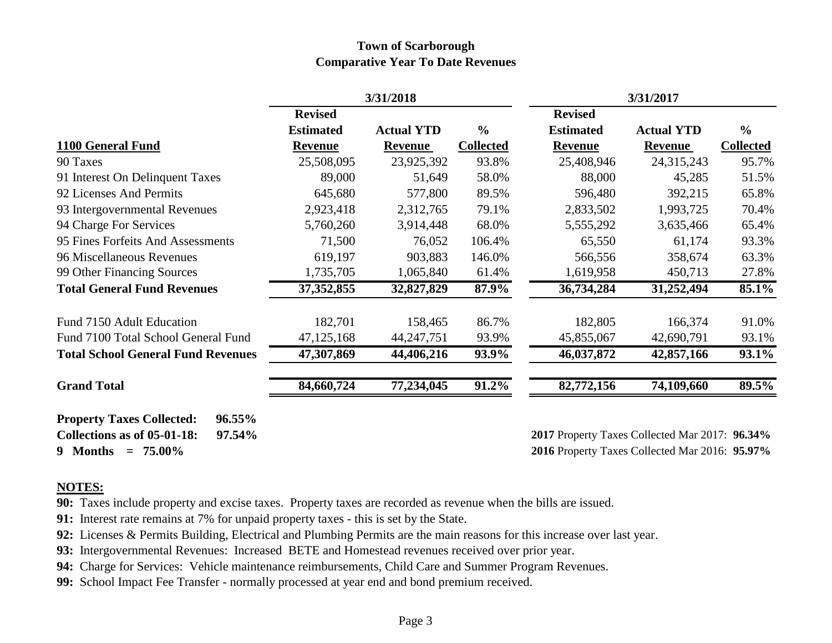### **Town of Scarborough Comparative Year To Date Revenues**

|                                                                                                                       |                  | 3/31/2018         |                  |                                                                                                  | 3/31/2017         |                  |
|-----------------------------------------------------------------------------------------------------------------------|------------------|-------------------|------------------|--------------------------------------------------------------------------------------------------|-------------------|------------------|
|                                                                                                                       | <b>Revised</b>   |                   |                  | <b>Revised</b>                                                                                   |                   |                  |
|                                                                                                                       | <b>Estimated</b> | <b>Actual YTD</b> | $\frac{0}{0}$    | <b>Estimated</b>                                                                                 | <b>Actual YTD</b> | $\frac{6}{6}$    |
| 1100 General Fund                                                                                                     | <b>Revenue</b>   | <b>Revenue</b>    | <b>Collected</b> | <b>Revenue</b>                                                                                   | <b>Revenue</b>    | <b>Collected</b> |
| 90 Taxes                                                                                                              | 25,508,095       | 23,925,392        | 93.8%            | 25,408,946                                                                                       | 24,315,243        | 95.7%            |
| 91 Interest On Delinquent Taxes                                                                                       | 89,000           | 51,649            | 58.0%            | 88,000                                                                                           | 45,285            | 51.5%            |
| 92 Licenses And Permits                                                                                               | 645,680          | 577,800           | 89.5%            | 596,480                                                                                          | 392,215           | 65.8%            |
| 93 Intergovernmental Revenues                                                                                         | 2,923,418        | 2,312,765         | 79.1%            | 2,833,502                                                                                        | 1,993,725         | 70.4%            |
| 94 Charge For Services                                                                                                | 5,760,260        | 3,914,448         | 68.0%            | 5,555,292                                                                                        | 3,635,466         | 65.4%            |
| 95 Fines Forfeits And Assessments                                                                                     | 71,500           | 76,052            | 106.4%           | 65,550                                                                                           | 61,174            | 93.3%            |
| 96 Miscellaneous Revenues                                                                                             | 619,197          | 903,883           | 146.0%           | 566,556                                                                                          | 358,674           | 63.3%            |
| 99 Other Financing Sources                                                                                            | 1,735,705        | 1,065,840         | 61.4%            | 1,619,958                                                                                        | 450,713           | 27.8%            |
| <b>Total General Fund Revenues</b>                                                                                    | 37, 352, 855     | 32,827,829        | 87.9%            | 36,734,284                                                                                       | 31,252,494        | 85.1%            |
| Fund 7150 Adult Education                                                                                             | 182,701          | 158,465           | 86.7%            | 182,805                                                                                          | 166,374           | 91.0%            |
| Fund 7100 Total School General Fund                                                                                   | 47,125,168       | 44, 247, 751      | 93.9%            | 45,855,067                                                                                       | 42,690,791        | 93.1%            |
| <b>Total School General Fund Revenues</b>                                                                             | 47,307,869       | 44,406,216        | 93.9%            | 46,037,872                                                                                       | 42,857,166        | 93.1%            |
| <b>Grand Total</b>                                                                                                    | 84,660,724       | 77,234,045        | 91.2%            | 82,772,156                                                                                       | 74,109,660        | $89.5\%$         |
| <b>Property Taxes Collected:</b><br><b>96.55%</b><br>Collections as of 05-01-18:<br>97.54%<br>9 Months<br>$= 75.00\%$ |                  |                   |                  | 2017 Property Taxes Collected Mar 2017: 96.34%<br>2016 Property Taxes Collected Mar 2016: 95.97% |                   |                  |

### **NOTES:**

**90:** Taxes include property and excise taxes. Property taxes are recorded as revenue when the bills are issued.

**91:** Interest rate remains at 7% for unpaid property taxes - this is set by the State.

**92:** Licenses & Permits Building, Electrical and Plumbing Permits are the main reasons for this increase over last year.

**93:** Intergovernmental Revenues: Increased BETE and Homestead revenues received over prior year.

**94:** Charge for Services: Vehicle maintenance reimbursements, Child Care and Summer Program Revenues.

**99:** School Impact Fee Transfer - normally processed at year end and bond premium received.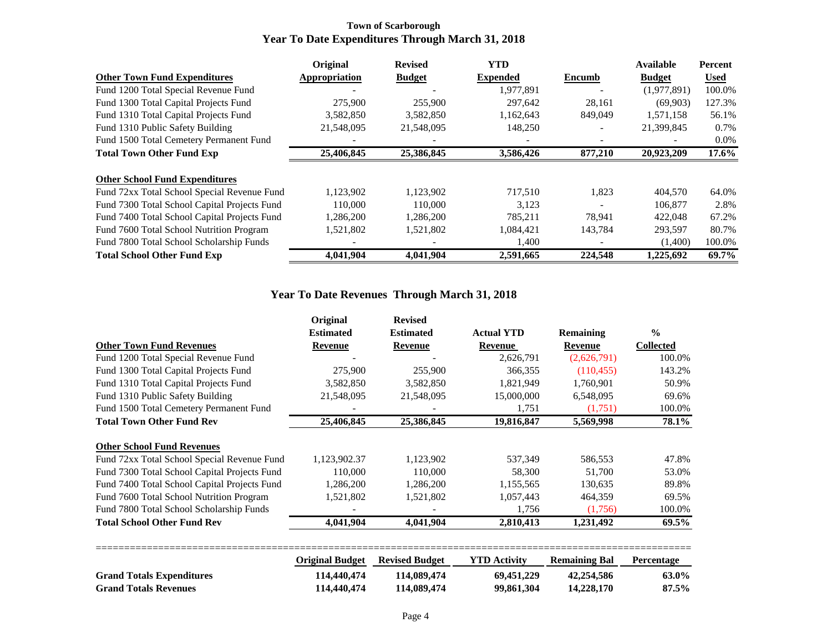#### **Town of Scarborough Year To Date Expenditures Through March 31, 2018**

|                                              | Original      | <b>Revised</b> | <b>YTD</b>      |         | Available     | Percent     |
|----------------------------------------------|---------------|----------------|-----------------|---------|---------------|-------------|
| <b>Other Town Fund Expenditures</b>          | Appropriation | <b>Budget</b>  | <b>Expended</b> | Encumb  | <b>Budget</b> | <b>Used</b> |
| Fund 1200 Total Special Revenue Fund         |               |                | 1,977,891       |         | (1,977,891)   | 100.0%      |
| Fund 1300 Total Capital Projects Fund        | 275,900       | 255,900        | 297,642         | 28,161  | (69,903)      | 127.3%      |
| Fund 1310 Total Capital Projects Fund        | 3,582,850     | 3,582,850      | 1,162,643       | 849,049 | 1,571,158     | 56.1%       |
| Fund 1310 Public Safety Building             | 21,548,095    | 21,548,095     | 148,250         |         | 21,399,845    | 0.7%        |
| Fund 1500 Total Cemetery Permanent Fund      |               |                |                 |         |               | $0.0\%$     |
| <b>Total Town Other Fund Exp</b>             | 25,406,845    | 25,386,845     | 3,586,426       | 877,210 | 20,923,209    | $17.6\%$    |
|                                              |               |                |                 |         |               |             |
| <b>Other School Fund Expenditures</b>        |               |                |                 |         |               |             |
| Fund 72xx Total School Special Revenue Fund  | 1,123,902     | 1,123,902      | 717,510         | 1.823   | 404,570       | 64.0%       |
| Fund 7300 Total School Capital Projects Fund | 110,000       | 110,000        | 3,123           |         | 106,877       | 2.8%        |
| Fund 7400 Total School Capital Projects Fund | 1,286,200     | 1,286,200      | 785,211         | 78,941  | 422,048       | 67.2%       |
| Fund 7600 Total School Nutrition Program     | 1,521,802     | 1,521,802      | 1,084,421       | 143,784 | 293,597       | 80.7%       |
| Fund 7800 Total School Scholarship Funds     |               |                | 1,400           |         | (1,400)       | 100.0%      |
| <b>Total School Other Fund Exp</b>           | 4,041,904     | 4.041.904      | 2,591,665       | 224,548 | 1,225,692     | 69.7%       |

### **Year To Date Revenues Through March 31, 2018**

|                                              | Original               | <b>Revised</b>        |                     |                      |                   |
|----------------------------------------------|------------------------|-----------------------|---------------------|----------------------|-------------------|
|                                              | <b>Estimated</b>       | <b>Estimated</b>      | <b>Actual YTD</b>   | <b>Remaining</b>     | $\frac{0}{0}$     |
| <b>Other Town Fund Revenues</b>              | Revenue                | Revenue               | Revenue             | Revenue              | <b>Collected</b>  |
| Fund 1200 Total Special Revenue Fund         |                        |                       | 2,626,791           | (2,626,791)          | 100.0%            |
| Fund 1300 Total Capital Projects Fund        | 275,900                | 255,900               | 366,355             | (110, 455)           | 143.2%            |
| Fund 1310 Total Capital Projects Fund        | 3,582,850              | 3,582,850             | 1,821,949           | 1,760,901            | 50.9%             |
| Fund 1310 Public Safety Building             | 21,548,095             | 21,548,095            | 15,000,000          | 6,548,095            | 69.6%             |
| Fund 1500 Total Cemetery Permanent Fund      |                        |                       | 1,751               | (1,751)              | 100.0%            |
| <b>Total Town Other Fund Rev</b>             | 25,406,845             | 25,386,845            | 19,816,847          | 5,569,998            | 78.1%             |
| <b>Other School Fund Revenues</b>            |                        |                       |                     |                      |                   |
| Fund 72xx Total School Special Revenue Fund  | 1,123,902.37           | 1,123,902             | 537,349             | 586,553              | 47.8%             |
| Fund 7300 Total School Capital Projects Fund | 110,000                | 110,000               | 58,300              | 51,700               | 53.0%             |
| Fund 7400 Total School Capital Projects Fund | 1,286,200              | 1,286,200             | 1,155,565           | 130,635              | 89.8%             |
| Fund 7600 Total School Nutrition Program     | 1,521,802              | 1,521,802             | 1,057,443           | 464,359              | 69.5%             |
| Fund 7800 Total School Scholarship Funds     |                        |                       | 1,756               | (1,756)              | 100.0%            |
| <b>Total School Other Fund Rev</b>           | 4,041,904              | 4,041,904             | 2,810,413           | 1,231,492            | 69.5%             |
|                                              | <b>Original Budget</b> | <b>Revised Budget</b> | <b>YTD Activity</b> | <b>Remaining Bal</b> | <b>Percentage</b> |
| <b>Grand Totals Expenditures</b>             | 114,440,474            | 114,089,474           | 69,451,229          | 42,254,586           | 63.0%             |

**Grand Totals Revenues 114,440,474 114,089,474 99,861,304 14,228,170 87.5%**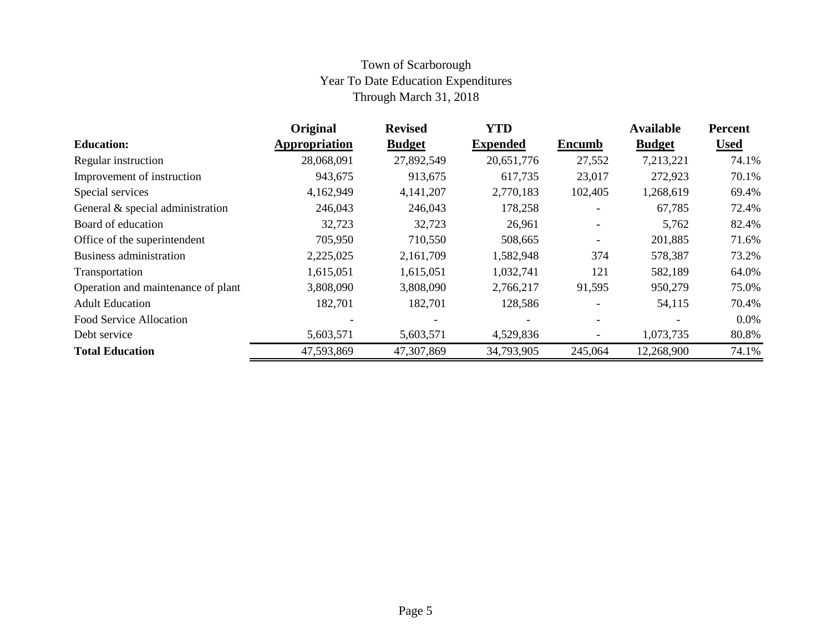### Town of Scarborough Year To Date Education Expenditures Through March 31, 2018

|                                    | Original      | <b>Revised</b> | <b>YTD</b>      |                          | <b>Available</b> | Percent     |
|------------------------------------|---------------|----------------|-----------------|--------------------------|------------------|-------------|
| <b>Education:</b>                  | Appropriation | <b>Budget</b>  | <b>Expended</b> | <b>Encumb</b>            | <b>Budget</b>    | <b>Used</b> |
| Regular instruction                | 28,068,091    | 27,892,549     | 20,651,776      | 27,552                   | 7,213,221        | 74.1%       |
| Improvement of instruction         | 943,675       | 913,675        | 617,735         | 23,017                   | 272,923          | 70.1%       |
| Special services                   | 4,162,949     | 4,141,207      | 2,770,183       | 102,405                  | 1,268,619        | 69.4%       |
| General & special administration   | 246,043       | 246,043        | 178,258         |                          | 67,785           | 72.4%       |
| Board of education                 | 32,723        | 32,723         | 26,961          | $\overline{\phantom{0}}$ | 5,762            | 82.4%       |
| Office of the superintendent       | 705,950       | 710,550        | 508,665         |                          | 201,885          | 71.6%       |
| Business administration            | 2,225,025     | 2,161,709      | 1,582,948       | 374                      | 578,387          | 73.2%       |
| Transportation                     | 1,615,051     | 1,615,051      | 1,032,741       | 121                      | 582,189          | 64.0%       |
| Operation and maintenance of plant | 3,808,090     | 3,808,090      | 2,766,217       | 91,595                   | 950,279          | 75.0%       |
| <b>Adult Education</b>             | 182,701       | 182,701        | 128,586         |                          | 54,115           | 70.4%       |
| Food Service Allocation            |               |                |                 |                          |                  | $0.0\%$     |
| Debt service                       | 5,603,571     | 5,603,571      | 4,529,836       |                          | 1,073,735        | 80.8%       |
| <b>Total Education</b>             | 47,593,869    | 47,307,869     | 34,793,905      | 245,064                  | 12,268,900       | 74.1%       |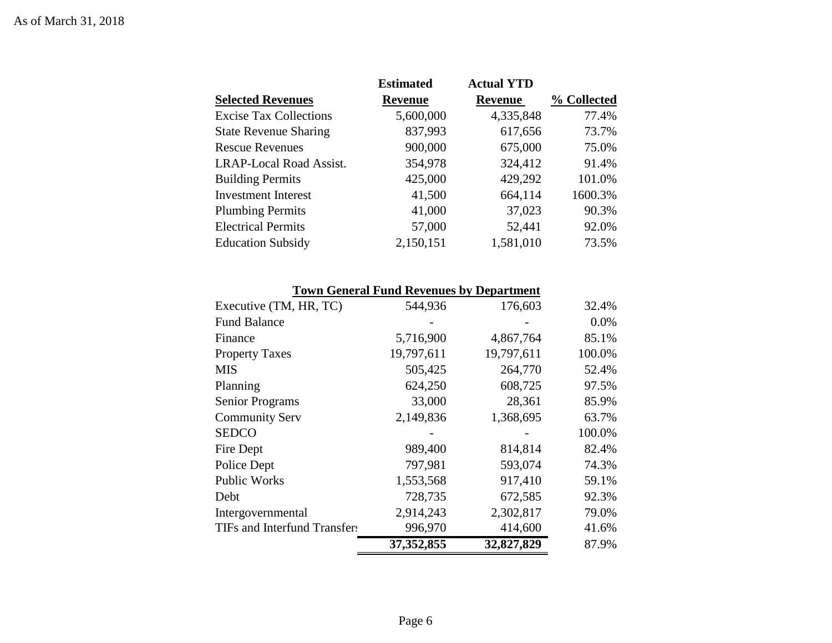| <b>Actual YTD</b><br><b>Estimated</b>                        |             |
|--------------------------------------------------------------|-------------|
| <b>Selected Revenues</b><br><b>Revenue</b><br><b>Revenue</b> | % Collected |
| 4,335,848<br><b>Excise Tax Collections</b><br>5,600,000      | 77.4%       |
| 837,993<br><b>State Revenue Sharing</b><br>617,656           | 73.7%       |
| 900,000<br>675,000<br><b>Rescue Revenues</b>                 | 75.0%       |
| 354,978<br>324,412<br><b>LRAP-Local Road Assist.</b>         | 91.4%       |
| 429,292<br>425,000<br><b>Building Permits</b>                | 101.0%      |
| <b>Investment Interest</b><br>41,500<br>664,114              | 1600.3%     |
| 41,000<br>37,023<br><b>Plumbing Permits</b>                  | 90.3%       |
| 57,000<br><b>Electrical Permits</b><br>52,441                | 92.0%       |
| 1,581,010<br>2,150,151<br><b>Education Subsidy</b>           | 73.5%       |

|  |  |  |  | <b>Town General Fund Revenues by Department</b> |  |  |  |
|--|--|--|--|-------------------------------------------------|--|--|--|
|--|--|--|--|-------------------------------------------------|--|--|--|

| TIFs and Interfund Transfers | 996,970<br>37, 352, 855 | 414,600<br>32,827,829 | 41.6%<br>87.9% |
|------------------------------|-------------------------|-----------------------|----------------|
| Intergovernmental            | 2,914,243               | 2,302,817             | 79.0%          |
| Debt                         | 728,735                 | 672,585               | 92.3%          |
| <b>Public Works</b>          | 1,553,568               | 917,410               | 59.1%          |
| Police Dept                  | 797,981                 | 593,074               | 74.3%          |
| Fire Dept                    | 989,400                 | 814,814               | 82.4%          |
| <b>SEDCO</b>                 |                         |                       | 100.0%         |
| <b>Community Serv</b>        | 2,149,836               | 1,368,695             | 63.7%          |
| <b>Senior Programs</b>       | 33,000                  | 28,361                | 85.9%          |
| Planning                     | 624,250                 | 608,725               | 97.5%          |
| <b>MIS</b>                   | 505,425                 | 264,770               | 52.4%          |
| <b>Property Taxes</b>        | 19,797,611              | 19,797,611            | 100.0%         |
| Finance                      | 5,716,900               | 4,867,764             | 85.1%          |
| <b>Fund Balance</b>          |                         |                       | 0.0%           |
| Executive (TM, HR, TC)       | 544,936                 | 176,603               | 32.4%          |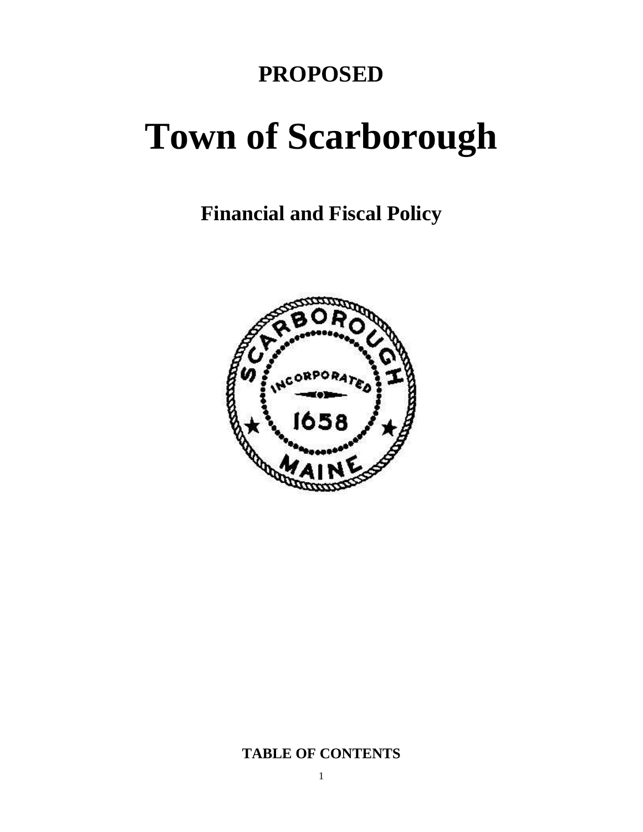## **PROPOSED**

# **Town of Scarborough**

**Financial and Fiscal Policy**



### **TABLE OF CONTENTS**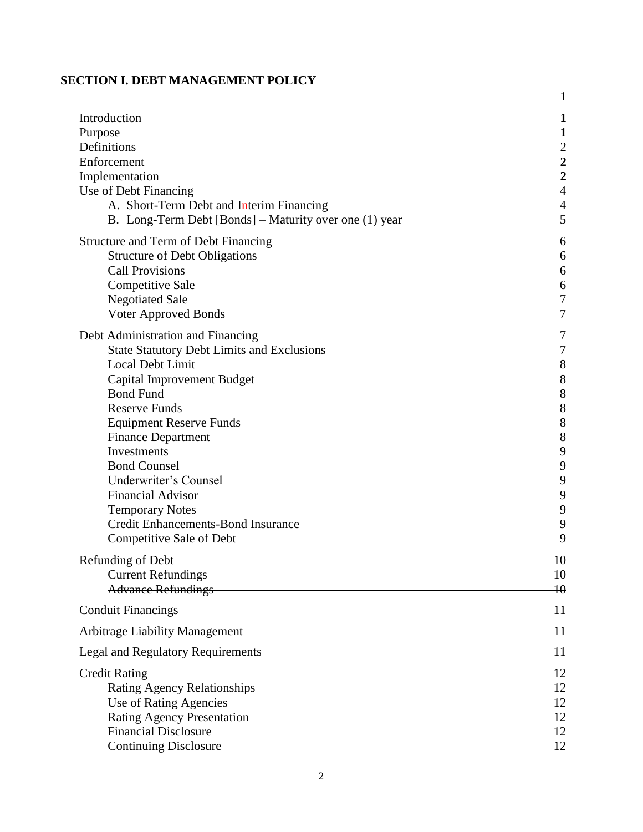### **SECTION I. DEBT MANAGEMENT POLICY**

|                                                        | $\mathbf{1}$            |
|--------------------------------------------------------|-------------------------|
| Introduction                                           | 1                       |
| Purpose                                                | $\mathbf{1}$            |
| Definitions                                            | $\boldsymbol{2}$        |
| Enforcement                                            | $\overline{\mathbf{c}}$ |
| Implementation                                         | $\overline{2}$          |
| Use of Debt Financing                                  | $\overline{4}$          |
| A. Short-Term Debt and Interim Financing               | $\overline{4}$          |
| B. Long-Term Debt [Bonds] – Maturity over one (1) year | 5                       |
| Structure and Term of Debt Financing                   | 6                       |
| <b>Structure of Debt Obligations</b>                   | 6                       |
| <b>Call Provisions</b>                                 | 6                       |
| <b>Competitive Sale</b>                                | 6                       |
| <b>Negotiated Sale</b>                                 | $\boldsymbol{7}$        |
| Voter Approved Bonds                                   | $\tau$                  |
| Debt Administration and Financing                      | 7                       |
| <b>State Statutory Debt Limits and Exclusions</b>      | $\boldsymbol{7}$        |
| Local Debt Limit                                       | $\,8\,$                 |
| Capital Improvement Budget                             | 8                       |
| <b>Bond Fund</b>                                       | 8                       |
| <b>Reserve Funds</b>                                   | $\,8\,$                 |
| <b>Equipment Reserve Funds</b>                         | $8\,$                   |
| <b>Finance Department</b>                              | 8                       |
| Investments                                            | 9                       |
| <b>Bond Counsel</b>                                    | 9                       |
| Underwriter's Counsel                                  | 9                       |
| <b>Financial Advisor</b>                               | 9                       |
| <b>Temporary Notes</b>                                 | 9                       |
| <b>Credit Enhancements-Bond Insurance</b>              | 9                       |
| Competitive Sale of Debt                               | 9                       |
| Refunding of Debt                                      | 10                      |
| <b>Current Refundings</b>                              | 10                      |
| <b>Advance Refundings</b>                              | $\overline{10}$         |
| <b>Conduit Financings</b>                              | 11                      |
| <b>Arbitrage Liability Management</b>                  | 11                      |
| Legal and Regulatory Requirements                      | 11                      |
| <b>Credit Rating</b>                                   | 12                      |
| <b>Rating Agency Relationships</b>                     | 12                      |
| Use of Rating Agencies                                 | 12                      |
| <b>Rating Agency Presentation</b>                      | 12                      |
| <b>Financial Disclosure</b>                            | 12                      |
| <b>Continuing Disclosure</b>                           | 12                      |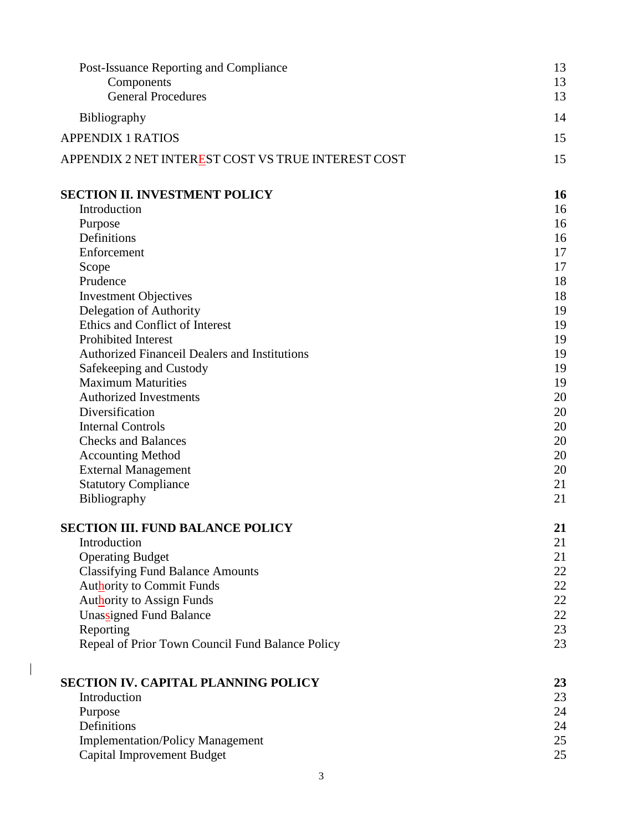| Post-Issuance Reporting and Compliance                        | 13       |
|---------------------------------------------------------------|----------|
| Components                                                    | 13       |
| <b>General Procedures</b>                                     | 13       |
| <b>Bibliography</b>                                           | 14       |
| <b>APPENDIX 1 RATIOS</b>                                      | 15       |
| APPENDIX 2 NET INTEREST COST VS TRUE INTEREST COST            | 15       |
| <b>SECTION II. INVESTMENT POLICY</b>                          | 16       |
| Introduction                                                  | 16       |
| Purpose                                                       | 16       |
| Definitions                                                   | 16       |
| Enforcement                                                   | 17       |
| Scope<br>Prudence                                             | 17<br>18 |
| <b>Investment Objectives</b>                                  | 18       |
| Delegation of Authority                                       | 19       |
| Ethics and Conflict of Interest                               | 19       |
| <b>Prohibited Interest</b>                                    | 19       |
| <b>Authorized Financeil Dealers and Institutions</b>          | 19       |
| Safekeeping and Custody                                       | 19       |
| <b>Maximum Maturities</b>                                     | 19       |
| <b>Authorized Investments</b>                                 | 20       |
| Diversification                                               | 20       |
| <b>Internal Controls</b>                                      | 20       |
| <b>Checks and Balances</b>                                    | 20       |
| <b>Accounting Method</b>                                      | 20<br>20 |
| <b>External Management</b><br><b>Statutory Compliance</b>     | 21       |
| Bibliography                                                  | 21       |
|                                                               |          |
| <b>SECTION III. FUND BALANCE POLICY</b>                       | 21       |
| Introduction                                                  | 21       |
| <b>Operating Budget</b>                                       | 21       |
| <b>Classifying Fund Balance Amounts</b>                       | 22       |
| <b>Authority to Commit Funds</b>                              | 22       |
| <b>Authority to Assign Funds</b>                              | 22       |
| Unassigned Fund Balance                                       | 22       |
| Reporting<br>Repeal of Prior Town Council Fund Balance Policy | 23<br>23 |
|                                                               |          |
| <b>SECTION IV. CAPITAL PLANNING POLICY</b>                    | 23       |
| Introduction                                                  | 23       |
| Purpose                                                       | 24       |
| Definitions                                                   | 24       |
| <b>Implementation/Policy Management</b>                       | 25       |
| Capital Improvement Budget                                    | 25       |
| 3                                                             |          |

 $\begin{array}{c} \hline \end{array}$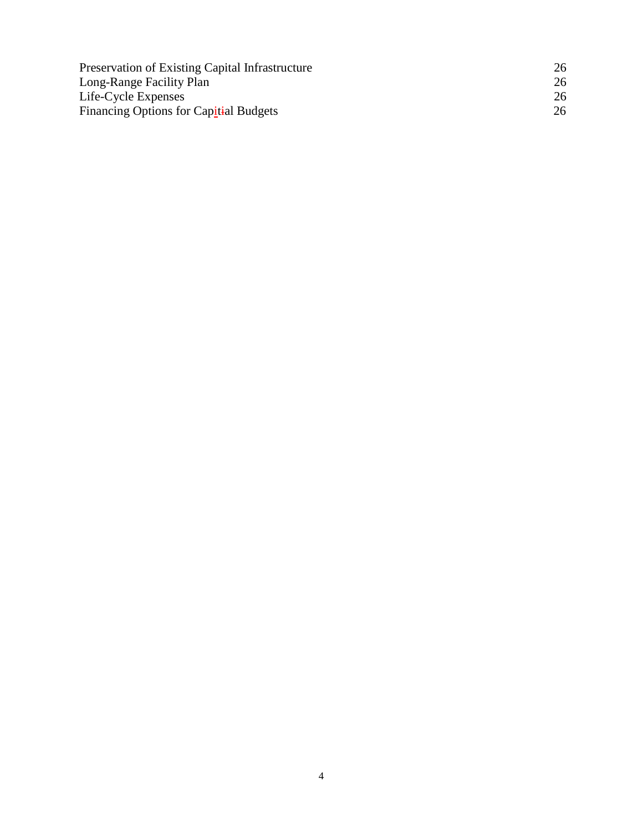| Preservation of Existing Capital Infrastructure | 26 |
|-------------------------------------------------|----|
| Long-Range Facility Plan                        | 26 |
| Life-Cycle Expenses                             | 26 |
| Financing Options for Capitial Budgets          | 26 |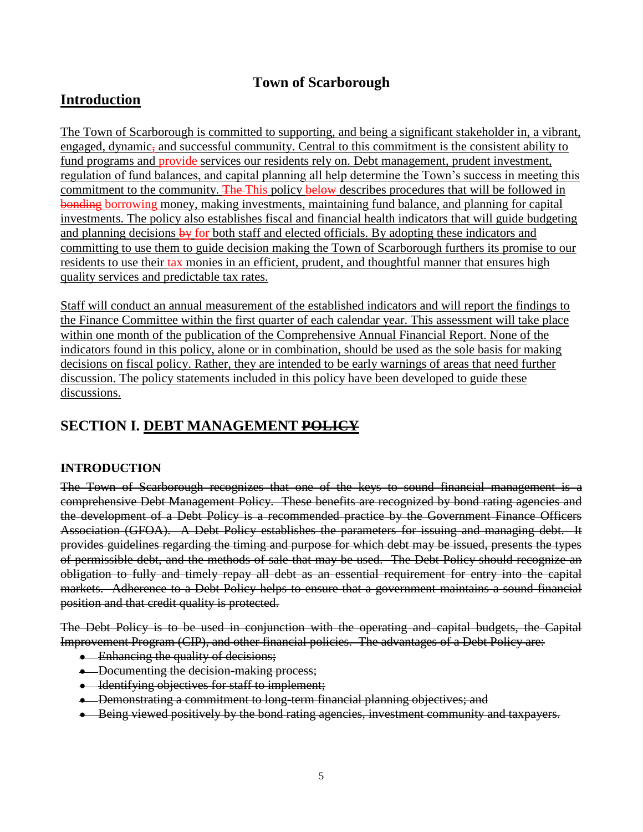### **Town of Scarborough**

### **Introduction**

The Town of Scarborough is committed to supporting, and being a significant stakeholder in, a vibrant, engaged, dynamic, and successful community. Central to this commitment is the consistent ability to fund programs and provide services our residents rely on. Debt management, prudent investment, regulation of fund balances, and capital planning all help determine the Town's success in meeting this commitment to the community. The This policy below describes procedures that will be followed in bonding borrowing money, making investments, maintaining fund balance, and planning for capital investments. The policy also establishes fiscal and financial health indicators that will guide budgeting and planning decisions  $\frac{1}{2}$  for both staff and elected officials. By adopting these indicators and committing to use them to guide decision making the Town of Scarborough furthers its promise to our residents to use their tax monies in an efficient, prudent, and thoughtful manner that ensures high quality services and predictable tax rates.

Staff will conduct an annual measurement of the established indicators and will report the findings to the Finance Committee within the first quarter of each calendar year. This assessment will take place within one month of the publication of the Comprehensive Annual Financial Report. None of the indicators found in this policy, alone or in combination, should be used as the sole basis for making decisions on fiscal policy. Rather, they are intended to be early warnings of areas that need further discussion. The policy statements included in this policy have been developed to guide these discussions.

### **SECTION I. DEBT MANAGEMENT POLICY**

### **INTRODUCTION**

The Town of Scarborough recognizes that one of the keys to sound financial management is a comprehensive Debt Management Policy. These benefits are recognized by bond rating agencies and the development of a Debt Policy is a recommended practice by the Government Finance Officers Association (GFOA). A Debt Policy establishes the parameters for issuing and managing debt. It provides guidelines regarding the timing and purpose for which debt may be issued, presents the types of permissible debt, and the methods of sale that may be used. The Debt Policy should recognize an obligation to fully and timely repay all debt as an essential requirement for entry into the capital markets. Adherence to a Debt Policy helps to ensure that a government maintains a sound financial position and that credit quality is protected.

The Debt Policy is to be used in conjunction with the operating and capital budgets, the Capital Improvement Program (CIP), and other financial policies. The advantages of a Debt Policy are:

- Enhancing the quality of decisions;
- Documenting the decision-making process;
- Identifying objectives for staff to implement;
- Demonstrating a commitment to long-term financial planning objectives; and
- Being viewed positively by the bond rating agencies, investment community and taxpayers.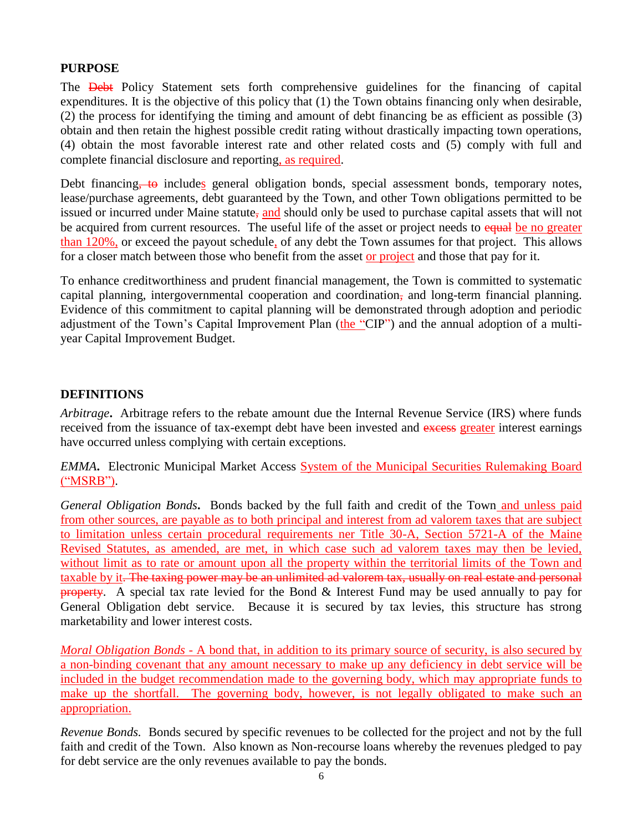### **PURPOSE**

The **Debt** Policy Statement sets forth comprehensive guidelines for the financing of capital expenditures. It is the objective of this policy that (1) the Town obtains financing only when desirable, (2) the process for identifying the timing and amount of debt financing be as efficient as possible (3) obtain and then retain the highest possible credit rating without drastically impacting town operations, (4) obtain the most favorable interest rate and other related costs and (5) comply with full and complete financial disclosure and reporting, as required.

Debt financing, to includes general obligation bonds, special assessment bonds, temporary notes, lease/purchase agreements, debt guaranteed by the Town, and other Town obligations permitted to be issued or incurred under Maine statute, and should only be used to purchase capital assets that will not be acquired from current resources. The useful life of the asset or project needs to equal be no greater than 120%, or exceed the payout schedule, of any debt the Town assumes for that project. This allows for a closer match between those who benefit from the asset or project and those that pay for it.

To enhance creditworthiness and prudent financial management, the Town is committed to systematic capital planning, intergovernmental cooperation and coordination, and long-term financial planning. Evidence of this commitment to capital planning will be demonstrated through adoption and periodic adjustment of the Town's Capital Improvement Plan (the "CIP") and the annual adoption of a multiyear Capital Improvement Budget.

### **DEFINITIONS**

*Arbitrage***.** Arbitrage refers to the rebate amount due the Internal Revenue Service (IRS) where funds received from the issuance of tax-exempt debt have been invested and excess greater interest earnings have occurred unless complying with certain exceptions.

*EMMA***.** Electronic Municipal Market Access System of the Municipal Securities Rulemaking Board ("MSRB").

*General Obligation Bonds***.** Bonds backed by the full faith and credit of the Town and unless paid from other sources, are payable as to both principal and interest from ad valorem taxes that are subject to limitation unless certain procedural requirements ner Title 30-A, Section 5721-A of the Maine Revised Statutes, as amended, are met, in which case such ad valorem taxes may then be levied, without limit as to rate or amount upon all the property within the territorial limits of the Town and taxable by it. The taxing power may be an unlimited ad valorem tax, usually on real estate and personal property. A special tax rate levied for the Bond & Interest Fund may be used annually to pay for General Obligation debt service. Because it is secured by tax levies, this structure has strong marketability and lower interest costs.

*Moral Obligation Bonds* - A [bond](http://www.msrb.org/glossary/definition/bond.aspx) that, in addition to its primary source of security, is also secured by a non-binding [covenant](http://www.msrb.org/glossary/definition/covenant-or-bond-covenant.aspx) that any amount necessary to make up any deficiency in [debt service](http://www.msrb.org/glossary/definition/debt-service.aspx) will be included in the budget recommendation made to the governing body, which may appropriate funds to make up the shortfall. The governing body, however, is not legally obligated to make such an appropriation.

*Revenue Bonds.* Bonds secured by specific revenues to be collected for the project and not by the full faith and credit of the Town. Also known as Non-recourse loans whereby the revenues pledged to pay for debt service are the only revenues available to pay the bonds.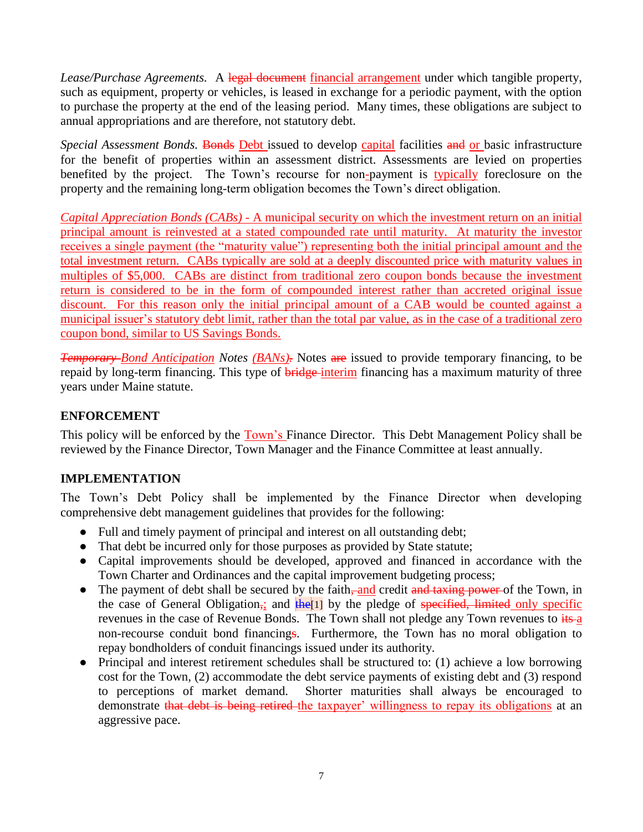Lease/Purchase Agreements. A legal document financial arrangement under which tangible property, such as equipment, property or vehicles, is leased in exchange for a periodic payment, with the option to purchase the property at the end of the leasing period. Many times, these obligations are subject to annual appropriations and are therefore, not statutory debt.

*Special Assessment Bonds.* Bonds Debt issued to develop capital facilities and or basic infrastructure for the benefit of properties within an assessment district. Assessments are levied on properties benefited by the project. The Town's recourse for non-payment is typically foreclosure on the property and the remaining long-term obligation becomes the Town's direct obligation.

*Capital Appreciation Bonds (CABs) -* A [municipal security](http://www.msrb.org/glossary/definition/municipal-securities.aspx) on which the investment return on an initia[l](http://www.msrb.org/glossary/definition/principal.aspx) [principal](http://www.msrb.org/glossary/definition/principal.aspx) amount is reinvested at a stated compounded rate until [maturity.](http://www.msrb.org/glossary/definition/maturity-or-maturity-date.aspx) At maturity the investor receives a single payment (the ["maturity value"](http://www.msrb.org/glossary/definition/maturity-value.aspx)) representing both the initial principal amount and the total investment return. CABs typically are sold at a deeply [discounted](http://www.msrb.org/glossary/definition/discount.aspx) price with maturity values in multiples of \$5,000. CABs are distinct from traditional zero coupon bonds because the investment return is considered to be in the form of compounded [interest](http://www.msrb.org/glossary/definition/interest.aspx) rather than accreted [original issue](http://www.msrb.org/glossary/definition/original-issue-discount-_oid_.aspx)  [discount.](http://www.msrb.org/glossary/definition/original-issue-discount-_oid_.aspx) For this reason only the initial principal amount of a CAB would be counted against a municipal [issuer's](http://www.msrb.org/glossary/definition/issuer.aspx) statutory [debt limit,](http://www.msrb.org/glossary/definition/debt-limit.aspx) rather than the total par value, as in the case of a traditional zero coupon bond, similar to US Savings Bonds.

*Temporary Bond Anticipation Notes (BANs)*. Notes are issued to provide temporary financing, to be repaid by long-term financing. This type of **bridge** interim financing has a maximum maturity of three years under Maine statute.

### **ENFORCEMENT**

This policy will be enforced by the Town's Finance Director. This Debt Management Policy shall be reviewed by the Finance Director, Town Manager and the Finance Committee at least annually.

### **IMPLEMENTATION**

The Town's Debt Policy shall be implemented by the Finance Director when developing comprehensive debt management guidelines that provides for the following:

- Full and timely payment of principal and interest on all outstanding debt;
- That debt be incurred only for those purposes as provided by State statute;
- Capital improvements should be developed, approved and financed in accordance with the Town Charter and Ordinances and the capital improvement budgeting process;
- The payment of debt shall be secured by the faith, and credit and taxing power of the Town, in the case of General Obligation<sub>i</sub>; and  $\frac{f}{f}$  the pledge of specified, limited only specific revenues in the case of Revenue Bonds. The Town shall not pledge any Town revenues to its a non-recourse conduit bond financings. Furthermore, the Town has no moral obligation to repay bondholders of conduit financings issued under its authority.
- Principal and interest retirement schedules shall be structured to: (1) achieve a low borrowing cost for the Town, (2) accommodate the debt service payments of existing debt and (3) respond to perceptions of market demand. Shorter maturities shall always be encouraged to demonstrate that debt is being retired the taxpayer' willingness to repay its obligations at an aggressive pace.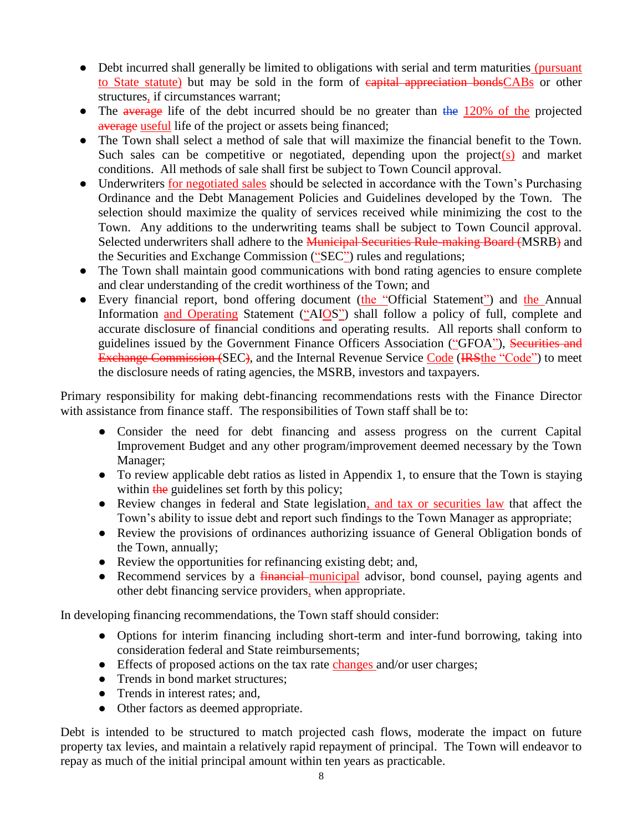- Debt incurred shall generally be limited to obligations with serial and term maturities (pursuant to State statute) but may be sold in the form of capital appreciation bondsCABs or other structures, if circumstances warrant;
- The average life of the debt incurred should be no greater than the 120% of the projected average useful life of the project or assets being financed;
- The Town shall select a method of sale that will maximize the financial benefit to the Town. Such sales can be competitive or negotiated, depending upon the project(s) and market conditions. All methods of sale shall first be subject to Town Council approval.
- Underwriters for negotiated sales should be selected in accordance with the Town's Purchasing Ordinance and the Debt Management Policies and Guidelines developed by the Town. The selection should maximize the quality of services received while minimizing the cost to the Town. Any additions to the underwriting teams shall be subject to Town Council approval. Selected underwriters shall adhere to the **Municipal Securities Rule-making Board (MSRB)** and the Securities and Exchange Commission ("SEC") rules and regulations;
- The Town shall maintain good communications with bond rating agencies to ensure complete and clear understanding of the credit worthiness of the Town; and
- Every financial report, bond offering document (the "Official Statement") and the Annual Information and Operating Statement ("AIOS") shall follow a policy of full, complete and accurate disclosure of financial conditions and operating results. All reports shall conform to guidelines issued by the Government Finance Officers Association ("GFOA"), Securities and Exchange Commission (SEC), and the Internal Revenue Service Code (IRSthe "Code") to meet the disclosure needs of rating agencies, the MSRB, investors and taxpayers.

Primary responsibility for making debt-financing recommendations rests with the Finance Director with assistance from finance staff. The responsibilities of Town staff shall be to:

- Consider the need for debt financing and assess progress on the current Capital Improvement Budget and any other program/improvement deemed necessary by the Town Manager;
- To review applicable debt ratios as listed in Appendix 1, to ensure that the Town is staying within the guidelines set forth by this policy;
- Review changes in federal and State legislation, and tax or securities law that affect the Town's ability to issue debt and report such findings to the Town Manager as appropriate;
- Review the provisions of ordinances authorizing issuance of General Obligation bonds of the Town, annually;
- Review the opportunities for refinancing existing debt; and,
- Recommend services by a *financial* municipal advisor, bond counsel, paying agents and other debt financing service providers, when appropriate.

In developing financing recommendations, the Town staff should consider:

- Options for interim financing including short-term and inter-fund borrowing, taking into consideration federal and State reimbursements;
- Effects of proposed actions on the tax rate changes and/or user charges;
- Trends in bond market structures:
- Trends in interest rates; and,
- Other factors as deemed appropriate.

Debt is intended to be structured to match projected cash flows, moderate the impact on future property tax levies, and maintain a relatively rapid repayment of principal. The Town will endeavor to repay as much of the initial principal amount within ten years as practicable.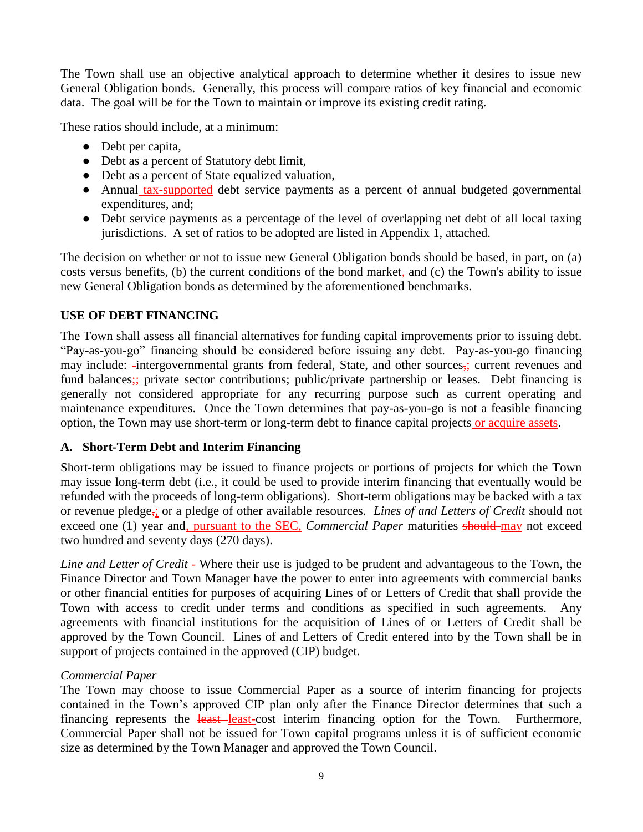The Town shall use an objective analytical approach to determine whether it desires to issue new General Obligation bonds. Generally, this process will compare ratios of key financial and economic data. The goal will be for the Town to maintain or improve its existing credit rating.

These ratios should include, at a minimum:

- Debt per capita,
- Debt as a percent of Statutory debt limit,
- Debt as a percent of State equalized valuation,
- Annual tax-supported debt service payments as a percent of annual budgeted governmental expenditures, and;
- Debt service payments as a percentage of the level of overlapping net debt of all local taxing jurisdictions. A set of ratios to be adopted are listed in Appendix 1, attached.

The decision on whether or not to issue new General Obligation bonds should be based, in part, on (a) costs versus benefits, (b) the current conditions of the bond market, and (c) the Town's ability to issue new General Obligation bonds as determined by the aforementioned benchmarks.

### **USE OF DEBT FINANCING**

The Town shall assess all financial alternatives for funding capital improvements prior to issuing debt. "Pay-as-you-go" financing should be considered before issuing any debt. Pay-as-you-go financing may include: -intergovernmental grants from federal, State, and other sources,; current revenues and fund balances; private sector contributions; public/private partnership or leases. Debt financing is generally not considered appropriate for any recurring purpose such as current operating and maintenance expenditures. Once the Town determines that pay-as-you-go is not a feasible financing option, the Town may use short-term or long-term debt to finance capital projects or acquire assets.

### **A. Short-Term Debt and Interim Financing**

Short-term obligations may be issued to finance projects or portions of projects for which the Town may issue long-term debt (i.e., it could be used to provide interim financing that eventually would be refunded with the proceeds of long-term obligations). Short-term obligations may be backed with a tax or revenue pledge,; or a pledge of other available resources. *Lines of and Letters of Credit* should not exceed one (1) year and, pursuant to the SEC, *Commercial Paper* maturities should may not exceed two hundred and seventy days (270 days).

*Line and Letter of Credit* - Where their use is judged to be prudent and advantageous to the Town, the Finance Director and Town Manager have the power to enter into agreements with commercial banks or other financial entities for purposes of acquiring Lines of or Letters of Credit that shall provide the Town with access to credit under terms and conditions as specified in such agreements. Any agreements with financial institutions for the acquisition of Lines of or Letters of Credit shall be approved by the Town Council. Lines of and Letters of Credit entered into by the Town shall be in support of projects contained in the approved (CIP) budget.

### *Commercial Paper*

The Town may choose to issue Commercial Paper as a source of interim financing for projects contained in the Town's approved CIP plan only after the Finance Director determines that such a financing represents the least-least-cost interim financing option for the Town. Furthermore, Commercial Paper shall not be issued for Town capital programs unless it is of sufficient economic size as determined by the Town Manager and approved the Town Council.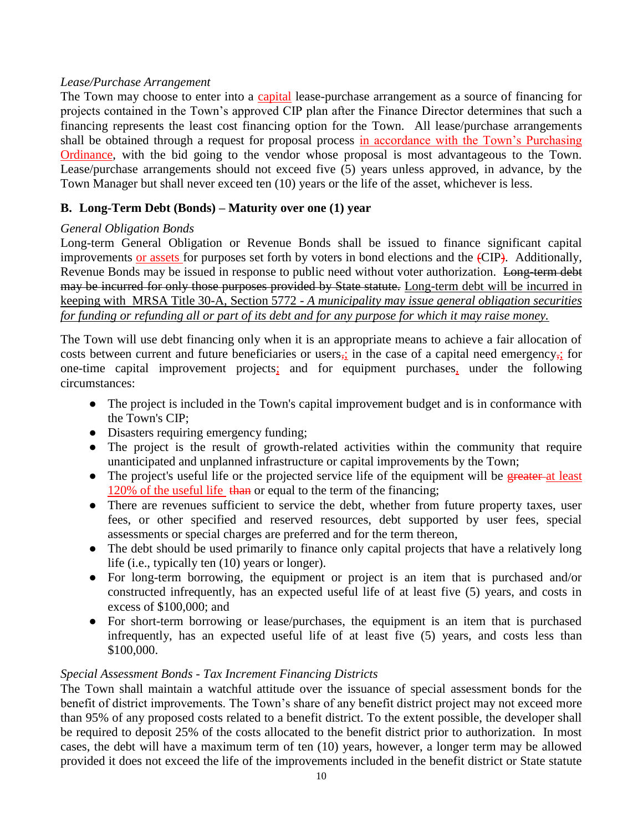### *Lease/Purchase Arrangement*

The Town may choose to enter into a capital lease-purchase arrangement as a source of financing for projects contained in the Town's approved CIP plan after the Finance Director determines that such a financing represents the least cost financing option for the Town. All lease/purchase arrangements shall be obtained through a request for proposal process in accordance with the Town's Purchasing Ordinance, with the bid going to the vendor whose proposal is most advantageous to the Town. Lease/purchase arrangements should not exceed five (5) years unless approved, in advance, by the Town Manager but shall never exceed ten (10) years or the life of the asset, whichever is less.

### **B. Long-Term Debt (Bonds) – Maturity over one (1) year**

### *General Obligation Bonds*

Long-term General Obligation or Revenue Bonds shall be issued to finance significant capital improvements or assets for purposes set forth by voters in bond elections and the (CIP). Additionally, Revenue Bonds may be issued in response to public need without voter authorization. Long-term debt may be incurred for only those purposes provided by State statute. Long-term debt will be incurred in keeping with MRSA Title 30-A, Section 5772 - *A municipality may issue general obligation securities for funding or refunding all or part of its debt and for any purpose for which it may raise money.*

The Town will use debt financing only when it is an appropriate means to achieve a fair allocation of costs between current and future beneficiaries or users, in the case of a capital need emergency, for one-time capital improvement projects; and for equipment purchases, under the following circumstances:

- The project is included in the Town's capital improvement budget and is in conformance with the Town's CIP;
- Disasters requiring emergency funding;
- The project is the result of growth-related activities within the community that require unanticipated and unplanned infrastructure or capital improvements by the Town;
- The project's useful life or the projected service life of the equipment will be greater at least 120% of the useful life than or equal to the term of the financing;
- There are revenues sufficient to service the debt, whether from future property taxes, user fees, or other specified and reserved resources, debt supported by user fees, special assessments or special charges are preferred and for the term thereon,
- The debt should be used primarily to finance only capital projects that have a relatively long life (i.e., typically ten (10) years or longer).
- For long-term borrowing, the equipment or project is an item that is purchased and/or constructed infrequently, has an expected useful life of at least five (5) years, and costs in excess of \$100,000; and
- For short-term borrowing or lease/purchases, the equipment is an item that is purchased infrequently, has an expected useful life of at least five (5) years, and costs less than \$100,000.

### *Special Assessment Bonds - Tax Increment Financing Districts*

The Town shall maintain a watchful attitude over the issuance of special assessment bonds for the benefit of district improvements. The Town's share of any benefit district project may not exceed more than 95% of any proposed costs related to a benefit district. To the extent possible, the developer shall be required to deposit 25% of the costs allocated to the benefit district prior to authorization. In most cases, the debt will have a maximum term of ten (10) years, however, a longer term may be allowed provided it does not exceed the life of the improvements included in the benefit district or State statute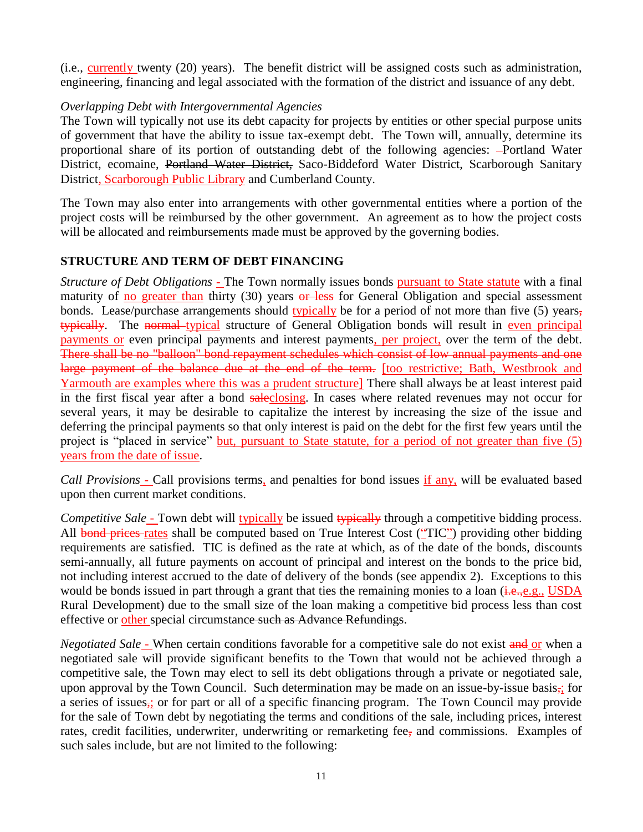(i.e., currently twenty (20) years). The benefit district will be assigned costs such as administration, engineering, financing and legal associated with the formation of the district and issuance of any debt.

### *Overlapping Debt with Intergovernmental Agencies*

The Town will typically not use its debt capacity for projects by entities or other special purpose units of government that have the ability to issue tax-exempt debt. The Town will, annually, determine its proportional share of its portion of outstanding debt of the following agencies: -Portland Water District, ecomaine, Portland Water District, Saco-Biddeford Water District, Scarborough Sanitary District, Scarborough Public Library and Cumberland County.

The Town may also enter into arrangements with other governmental entities where a portion of the project costs will be reimbursed by the other government. An agreement as to how the project costs will be allocated and reimbursements made must be approved by the governing bodies.

### **STRUCTURE AND TERM OF DEBT FINANCING**

*Structure of Debt Obligations* - The Town normally issues bonds pursuant to State statute with a final maturity of no greater than thirty  $(30)$  years or less for General Obligation and special assessment bonds. Lease/purchase arrangements should typically be for a period of not more than five (5) years, typically. The normal typical structure of General Obligation bonds will result in even principal payments or even principal payments and interest payments, per project, over the term of the debt. There shall be no "balloon" bond repayment schedules which consist of low annual payments and one large payment of the balance due at the end of the term. [too restrictive; Bath, Westbrook and Yarmouth are examples where this was a prudent structure] There shall always be at least interest paid in the first fiscal year after a bond saleclosing. In cases where related revenues may not occur for several years, it may be desirable to capitalize the interest by increasing the size of the issue and deferring the principal payments so that only interest is paid on the debt for the first few years until the project is "placed in service" but, pursuant to State statute, for a period of not greater than five (5) years from the date of issue.

*Call Provisions* - Call provisions terms, and penalties for bond issues if any, will be evaluated based upon then current market conditions.

*Competitive Sale* - Town debt will typically be issued typically through a competitive bidding process. All bond prices rates shall be computed based on True Interest Cost ("TIC") providing other bidding requirements are satisfied. TIC is defined as the rate at which, as of the date of the bonds, discounts semi-annually, all future payments on account of principal and interest on the bonds to the price bid, not including interest accrued to the date of delivery of the bonds (see appendix 2). Exceptions to this would be bonds issued in part through a grant that ties the remaining monies to a loan  $(i.e.,e.g., USDA)$ Rural Development) due to the small size of the loan making a competitive bid process less than cost effective or other special circumstance such as Advance Refundings.

*Negotiated Sale* - When certain conditions favorable for a competitive sale do not exist and or when a negotiated sale will provide significant benefits to the Town that would not be achieved through a competitive sale, the Town may elect to sell its debt obligations through a private or negotiated sale, upon approval by the Town Council. Such determination may be made on an issue-by-issue basis, for a series of issues,; or for part or all of a specific financing program. The Town Council may provide for the sale of Town debt by negotiating the terms and conditions of the sale, including prices, interest rates, credit facilities, underwriter, underwriting or remarketing fee, and commissions. Examples of such sales include, but are not limited to the following: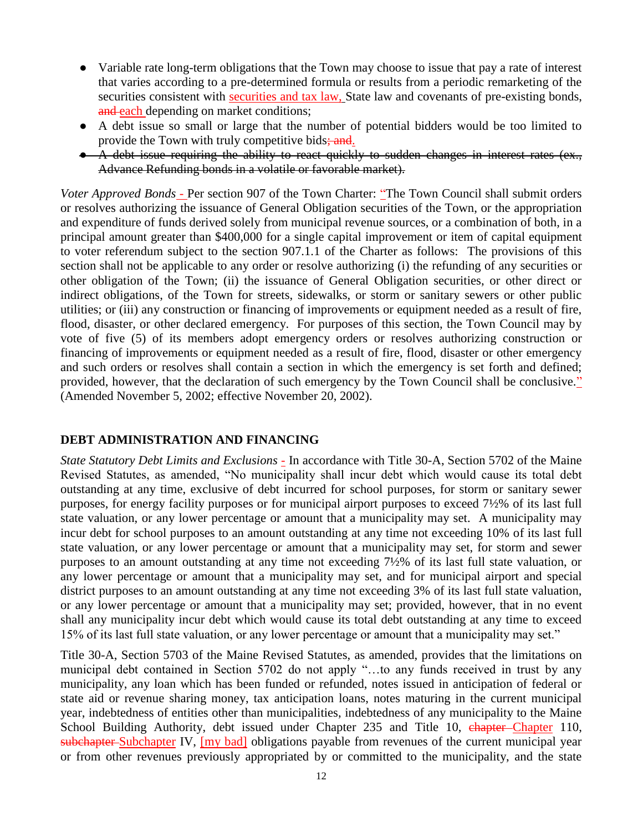- Variable rate long-term obligations that the Town may choose to issue that pay a rate of interest that varies according to a pre-determined formula or results from a periodic remarketing of the securities consistent with securities and tax law, State law and covenants of pre-existing bonds, and each depending on market conditions;
- A debt issue so small or large that the number of potential bidders would be too limited to provide the Town with truly competitive bids; and.
- A debt issue requiring the ability to react quickly to sudden changes in interest rates (ex., Advance Refunding bonds in a volatile or favorable market).

*Voter Approved Bonds* - Per section 907 of the Town Charter: "The Town Council shall submit orders or resolves authorizing the issuance of General Obligation securities of the Town, or the appropriation and expenditure of funds derived solely from municipal revenue sources, or a combination of both, in a principal amount greater than \$400,000 for a single capital improvement or item of capital equipment to voter referendum subject to the section 907.1.1 of the Charter as follows: The provisions of this section shall not be applicable to any order or resolve authorizing (i) the refunding of any securities or other obligation of the Town; (ii) the issuance of General Obligation securities, or other direct or indirect obligations, of the Town for streets, sidewalks, or storm or sanitary sewers or other public utilities; or (iii) any construction or financing of improvements or equipment needed as a result of fire, flood, disaster, or other declared emergency. For purposes of this section, the Town Council may by vote of five (5) of its members adopt emergency orders or resolves authorizing construction or financing of improvements or equipment needed as a result of fire, flood, disaster or other emergency and such orders or resolves shall contain a section in which the emergency is set forth and defined; provided, however, that the declaration of such emergency by the Town Council shall be conclusive." (Amended November 5, 2002; effective November 20, 2002).

### **DEBT ADMINISTRATION AND FINANCING**

*State Statutory Debt Limits and Exclusions* - In accordance with Title 30-A, Section 5702 of the Maine Revised Statutes, as amended, "No municipality shall incur debt which would cause its total debt outstanding at any time, exclusive of debt incurred for school purposes, for storm or sanitary sewer purposes, for energy facility purposes or for municipal airport purposes to exceed 7½% of its last full state valuation, or any lower percentage or amount that a municipality may set. A municipality may incur debt for school purposes to an amount outstanding at any time not exceeding 10% of its last full state valuation, or any lower percentage or amount that a municipality may set, for storm and sewer purposes to an amount outstanding at any time not exceeding 7½% of its last full state valuation, or any lower percentage or amount that a municipality may set, and for municipal airport and special district purposes to an amount outstanding at any time not exceeding 3% of its last full state valuation, or any lower percentage or amount that a municipality may set; provided, however, that in no event shall any municipality incur debt which would cause its total debt outstanding at any time to exceed 15% of its last full state valuation, or any lower percentage or amount that a municipality may set."

Title 30-A, Section 5703 of the Maine Revised Statutes, as amended, provides that the limitations on municipal debt contained in Section 5702 do not apply "…to any funds received in trust by any municipality, any loan which has been funded or refunded, notes issued in anticipation of federal or state aid or revenue sharing money, tax anticipation loans, notes maturing in the current municipal year, indebtedness of entities other than municipalities, indebtedness of any municipality to the Maine School Building Authority, debt issued under Chapter 235 and Title 10, chapter-Chapter 110, subchapter-Subchapter IV, [my bad] obligations payable from revenues of the current municipal year or from other revenues previously appropriated by or committed to the municipality, and the state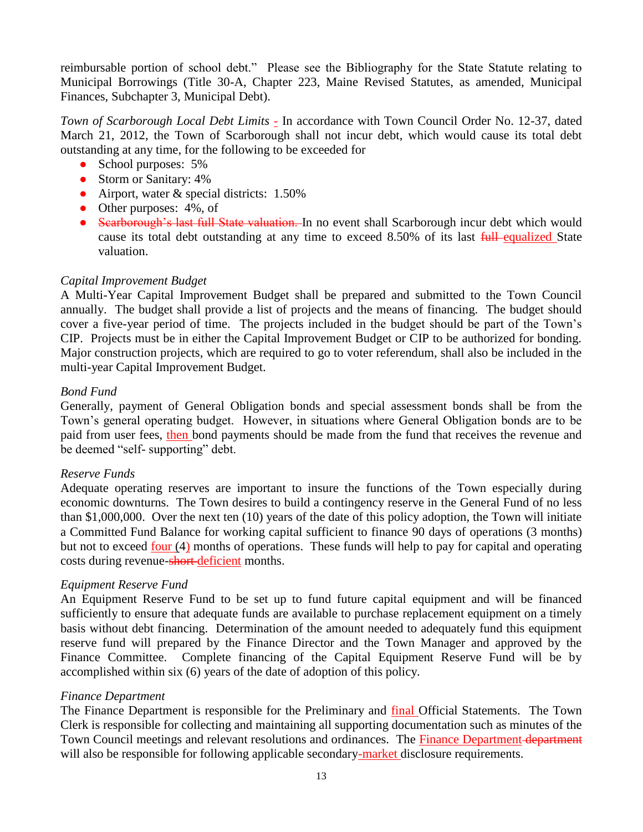reimbursable portion of school debt." Please see the Bibliography for the State Statute relating to Municipal Borrowings (Title 30-A, Chapter 223, Maine Revised Statutes, as amended, Municipal Finances, Subchapter 3, Municipal Debt).

*Town of Scarborough Local Debt Limits -* In accordance with Town Council Order No. 12-37, dated March 21, 2012, the Town of Scarborough shall not incur debt, which would cause its total debt outstanding at any time, for the following to be exceeded for

- School purposes:  $5\%$
- Storm or Sanitary: 4%
- Airport, water & special districts: 1.50%
- Other purposes:  $4\%$ , of
- Scarborough's last full State valuation. In no event shall Scarborough incur debt which would cause its total debt outstanding at any time to exceed 8.50% of its last full equalized State valuation.

### *Capital Improvement Budget*

A Multi-Year Capital Improvement Budget shall be prepared and submitted to the Town Council annually. The budget shall provide a list of projects and the means of financing. The budget should cover a five-year period of time. The projects included in the budget should be part of the Town's CIP. Projects must be in either the Capital Improvement Budget or CIP to be authorized for bonding. Major construction projects, which are required to go to voter referendum, shall also be included in the multi-year Capital Improvement Budget.

### *Bond Fund*

Generally, payment of General Obligation bonds and special assessment bonds shall be from the Town's general operating budget. However, in situations where General Obligation bonds are to be paid from user fees, then bond payments should be made from the fund that receives the revenue and be deemed "self- supporting" debt.

### *Reserve Funds*

Adequate operating reserves are important to insure the functions of the Town especially during economic downturns. The Town desires to build a contingency reserve in the General Fund of no less than \$1,000,000. Over the next ten (10) years of the date of this policy adoption, the Town will initiate a Committed Fund Balance for working capital sufficient to finance 90 days of operations (3 months) but not to exceed four (4) months of operations. These funds will help to pay for capital and operating costs during revenue-short-deficient months.

### *Equipment Reserve Fund*

An Equipment Reserve Fund to be set up to fund future capital equipment and will be financed sufficiently to ensure that adequate funds are available to purchase replacement equipment on a timely basis without debt financing. Determination of the amount needed to adequately fund this equipment reserve fund will prepared by the Finance Director and the Town Manager and approved by the Finance Committee. Complete financing of the Capital Equipment Reserve Fund will be by accomplished within six (6) years of the date of adoption of this policy.

### *Finance Department*

The Finance Department is responsible for the Preliminary and **final** Official Statements. The Town Clerk is responsible for collecting and maintaining all supporting documentation such as minutes of the Town Council meetings and relevant resolutions and ordinances. The Finance Department department will also be responsible for following applicable secondary-market disclosure requirements.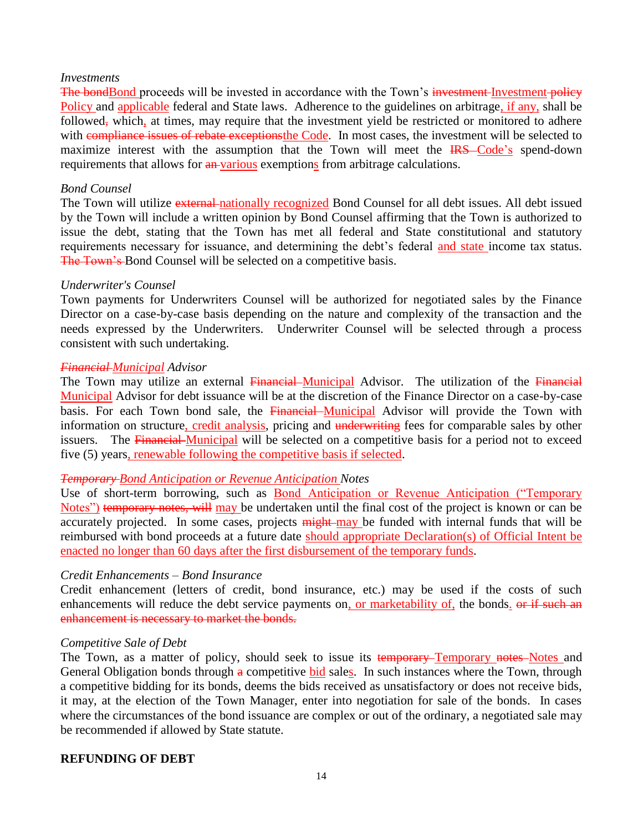#### *Investments*

The bondBond proceeds will be invested in accordance with the Town's investment-Investment-policy Policy and applicable federal and State laws. Adherence to the guidelines on arbitrage, if any, shall be followed, which, at times, may require that the investment yield be restricted or monitored to adhere with compliance issues of rebate exceptionsthe Code. In most cases, the investment will be selected to maximize interest with the assumption that the Town will meet the **IRS**-Code's spend-down requirements that allows for  $\frac{an-various}{an}$  exemptions from arbitrage calculations.

### *Bond Counsel*

The Town will utilize external nationally recognized Bond Counsel for all debt issues. All debt issued by the Town will include a written opinion by Bond Counsel affirming that the Town is authorized to issue the debt, stating that the Town has met all federal and State constitutional and statutory requirements necessary for issuance, and determining the debt's federal and state income tax status. The Town's Bond Counsel will be selected on a competitive basis.

#### *Underwriter's Counsel*

Town payments for Underwriters Counsel will be authorized for negotiated sales by the Finance Director on a case-by-case basis depending on the nature and complexity of the transaction and the needs expressed by the Underwriters. Underwriter Counsel will be selected through a process consistent with such undertaking.

#### *Financial Municipal Advisor*

The Town may utilize an external Financial Municipal Advisor. The utilization of the Financial Municipal Advisor for debt issuance will be at the discretion of the Finance Director on a case-by-case basis. For each Town bond sale, the Financial Municipal Advisor will provide the Town with information on structure, credit analysis, pricing and underwriting fees for comparable sales by other issuers. The Financial Municipal will be selected on a competitive basis for a period not to exceed five (5) years, renewable following the competitive basis if selected.

### *Temporary Bond Anticipation or Revenue Anticipation Notes*

Use of short-term borrowing, such as Bond Anticipation or Revenue Anticipation ("Temporary Notes") temporary notes, will may be undertaken until the final cost of the project is known or can be accurately projected. In some cases, projects  $\frac{m}{h}$  may be funded with internal funds that will be reimbursed with bond proceeds at a future date should appropriate Declaration(s) of Official Intent be enacted no longer than 60 days after the first disbursement of the temporary funds.

### *Credit Enhancements – Bond Insurance*

Credit enhancement (letters of credit, bond insurance, etc.) may be used if the costs of such enhancements will reduce the debt service payments on, or marketability of, the bonds. <del>or if such an</del> enhancement is necessary to market the bonds.

#### *Competitive Sale of Debt*

The Town, as a matter of policy, should seek to issue its temporary-Temporary notes-Notes and General Obligation bonds through  $\alpha$  competitive bid sales. In such instances where the Town, through a competitive bidding for its bonds, deems the bids received as unsatisfactory or does not receive bids, it may, at the election of the Town Manager, enter into negotiation for sale of the bonds. In cases where the circumstances of the bond issuance are complex or out of the ordinary, a negotiated sale may be recommended if allowed by State statute.

### **REFUNDING OF DEBT**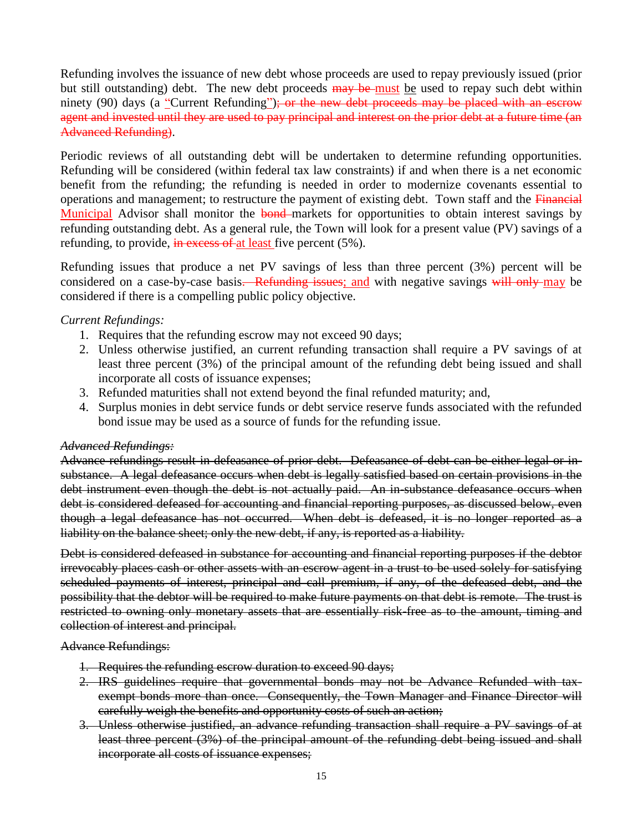Refunding involves the issuance of new debt whose proceeds are used to repay previously issued (prior but still outstanding) debt. The new debt proceeds may be must be used to repay such debt within ninety (90) days (a "Current Refunding"); or the new debt proceeds may be placed with an escrow agent and invested until they are used to pay principal and interest on the prior debt at a future time (an Advanced Refunding).

Periodic reviews of all outstanding debt will be undertaken to determine refunding opportunities. Refunding will be considered (within federal tax law constraints) if and when there is a net economic benefit from the refunding; the refunding is needed in order to modernize covenants essential to operations and management; to restructure the payment of existing debt. Town staff and the Financial Municipal Advisor shall monitor the bond-markets for opportunities to obtain interest savings by refunding outstanding debt. As a general rule, the Town will look for a present value (PV) savings of a refunding, to provide, in excess of at least five percent  $(5\%)$ .

Refunding issues that produce a net PV savings of less than three percent (3%) percent will be considered on a case-by-case basis. Refunding issues; and with negative savings will only may be considered if there is a compelling public policy objective.

### *Current Refundings:*

- 1. Requires that the refunding escrow may not exceed 90 days;
- 2. Unless otherwise justified, an current refunding transaction shall require a PV savings of at least three percent (3%) of the principal amount of the refunding debt being issued and shall incorporate all costs of issuance expenses;
- 3. Refunded maturities shall not extend beyond the final refunded maturity; and,
- 4. Surplus monies in debt service funds or debt service reserve funds associated with the refunded bond issue may be used as a source of funds for the refunding issue.

### *Advanced Refundings:*

Advance refundings result in defeasance of prior debt. Defeasance of debt can be either legal or insubstance. A legal defeasance occurs when debt is legally satisfied based on certain provisions in the debt instrument even though the debt is not actually paid. An in-substance defeasance occurs when debt is considered defeased for accounting and financial reporting purposes, as discussed below, even though a legal defeasance has not occurred. When debt is defeased, it is no longer reported as a liability on the balance sheet; only the new debt, if any, is reported as a liability.

Debt is considered defeased in substance for accounting and financial reporting purposes if the debtor irrevocably places cash or other assets with an escrow agent in a trust to be used solely for satisfying scheduled payments of interest, principal and call premium, if any, of the defeased debt, and the possibility that the debtor will be required to make future payments on that debt is remote. The trust is restricted to owning only monetary assets that are essentially risk-free as to the amount, timing and collection of interest and principal.

Advance Refundings:

- 1. Requires the refunding escrow duration to exceed 90 days;
- 2. IRS guidelines require that governmental bonds may not be Advance Refunded with taxexempt bonds more than once. Consequently, the Town Manager and Finance Director will carefully weigh the benefits and opportunity costs of such an action;
- 3. Unless otherwise justified, an advance refunding transaction shall require a PV savings of at least three percent (3%) of the principal amount of the refunding debt being issued and shall incorporate all costs of issuance expenses;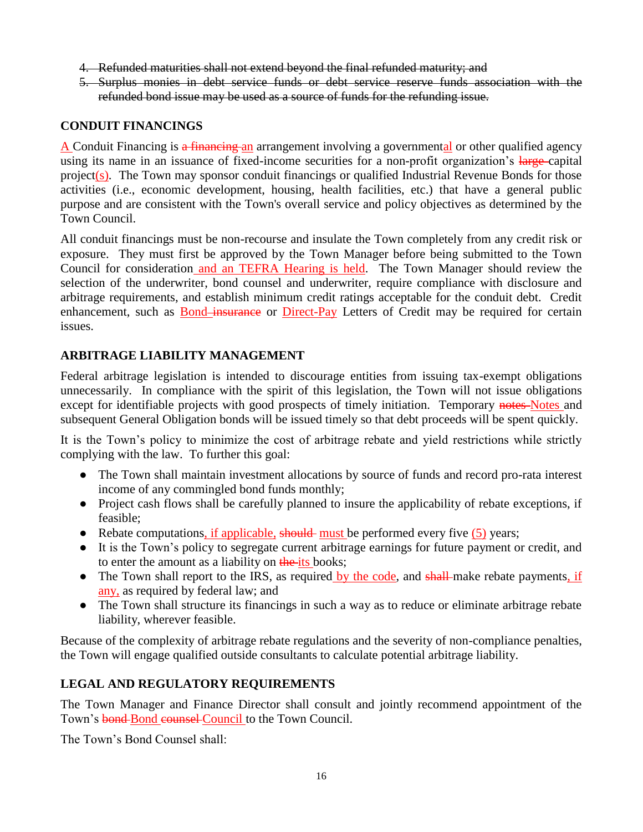- 4. Refunded maturities shall not extend beyond the final refunded maturity; and
- 5. Surplus monies in debt service funds or debt service reserve funds association with the refunded bond issue may be used as a source of funds for the refunding issue.

### **CONDUIT FINANCINGS**

A Conduit Financing is a financing an arrangement involving a governmental or other qualified agency using its name in an issuance of fixed-income securities for a non-profit organization's large-capital project(s). The Town may sponsor conduit financings or qualified Industrial Revenue Bonds for those activities (i.e., economic development, housing, health facilities, etc.) that have a general public purpose and are consistent with the Town's overall service and policy objectives as determined by the Town Council.

All conduit financings must be non-recourse and insulate the Town completely from any credit risk or exposure. They must first be approved by the Town Manager before being submitted to the Town Council for consideration and an TEFRA Hearing is held. The Town Manager should review the selection of the underwriter, bond counsel and underwriter, require compliance with disclosure and arbitrage requirements, and establish minimum credit ratings acceptable for the conduit debt. Credit enhancement, such as **Bond**-insurance or Direct-Pay Letters of Credit may be required for certain issues.

### **ARBITRAGE LIABILITY MANAGEMENT**

Federal arbitrage legislation is intended to discourage entities from issuing tax-exempt obligations unnecessarily. In compliance with the spirit of this legislation, the Town will not issue obligations except for identifiable projects with good prospects of timely initiation. Temporary notes Notes and subsequent General Obligation bonds will be issued timely so that debt proceeds will be spent quickly.

It is the Town's policy to minimize the cost of arbitrage rebate and yield restrictions while strictly complying with the law. To further this goal:

- The Town shall maintain investment allocations by source of funds and record pro-rata interest income of any commingled bond funds monthly;
- Project cash flows shall be carefully planned to insure the applicability of rebate exceptions, if feasible;
- $\bullet$  Rebate computations, if applicable, should must be performed every five (5) years;
- It is the Town's policy to segregate current arbitrage earnings for future payment or credit, and to enter the amount as a liability on the its books;
- The Town shall report to the IRS, as required by the code, and shall-make rebate payments, if any, as required by federal law; and
- The Town shall structure its financings in such a way as to reduce or eliminate arbitrage rebate liability, wherever feasible.

Because of the complexity of arbitrage rebate regulations and the severity of non-compliance penalties, the Town will engage qualified outside consultants to calculate potential arbitrage liability.

### **LEGAL AND REGULATORY REQUIREMENTS**

The Town Manager and Finance Director shall consult and jointly recommend appointment of the Town's bond-Bond counsel Council to the Town Council.

The Town's Bond Counsel shall: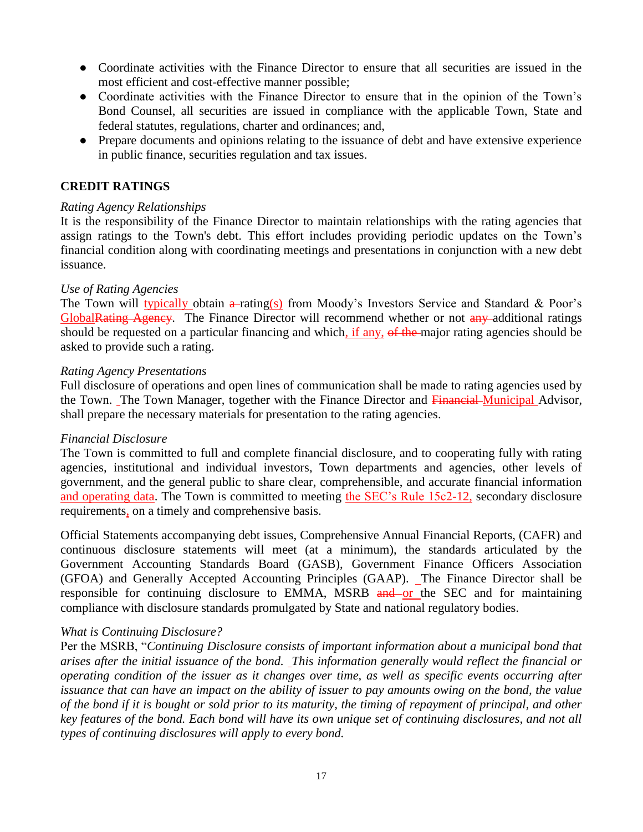- Coordinate activities with the Finance Director to ensure that all securities are issued in the most efficient and cost-effective manner possible;
- Coordinate activities with the Finance Director to ensure that in the opinion of the Town's Bond Counsel, all securities are issued in compliance with the applicable Town, State and federal statutes, regulations, charter and ordinances; and,
- Prepare documents and opinions relating to the issuance of debt and have extensive experience in public finance, securities regulation and tax issues.

### **CREDIT RATINGS**

### *Rating Agency Relationships*

It is the responsibility of the Finance Director to maintain relationships with the rating agencies that assign ratings to the Town's debt. This effort includes providing periodic updates on the Town's financial condition along with coordinating meetings and presentations in conjunction with a new debt issuance.

### *Use of Rating Agencies*

The Town will typically obtain  $\frac{a}{a}$ -rating(s) from Moody's Investors Service and Standard & Poor's GlobalRating Agency. The Finance Director will recommend whether or not any additional ratings should be requested on a particular financing and which, if any, of the major rating agencies should be asked to provide such a rating.

### *Rating Agency Presentations*

Full disclosure of operations and open lines of communication shall be made to rating agencies used by the Town. The Town Manager, together with the Finance Director and Financial Municipal Advisor. shall prepare the necessary materials for presentation to the rating agencies.

### *Financial Disclosure*

The Town is committed to full and complete financial disclosure, and to cooperating fully with rating agencies, institutional and individual investors, Town departments and agencies, other levels of government, and the general public to share clear, comprehensible, and accurate financial information and operating data. The Town is committed to meeting the SEC's Rule 15c2-12, secondary disclosure requirements, on a timely and comprehensive basis.

Official Statements accompanying debt issues, Comprehensive Annual Financial Reports, (CAFR) and continuous disclosure statements will meet (at a minimum), the standards articulated by the Government Accounting Standards Board (GASB), Government Finance Officers Association (GFOA) and Generally Accepted Accounting Principles (GAAP). The Finance Director shall be responsible for continuing disclosure to EMMA, MSRB and or the SEC and for maintaining compliance with disclosure standards promulgated by State and national regulatory bodies.

### *What is Continuing Disclosure?*

Per the MSRB, "*Continuing Disclosure consists of important information about a municipal bond that arises after the initial issuance of the bond. This information generally would reflect the financial or operating condition of the issuer as it changes over time, as well as specific events occurring after issuance that can have an impact on the ability of issuer to pay amounts owing on the bond, the value of the bond if it is bought or sold prior to its maturity, the timing of repayment of principal, and other key features of the bond. Each bond will have its own unique set of continuing disclosures, and not all types of continuing disclosures will apply to every bond.*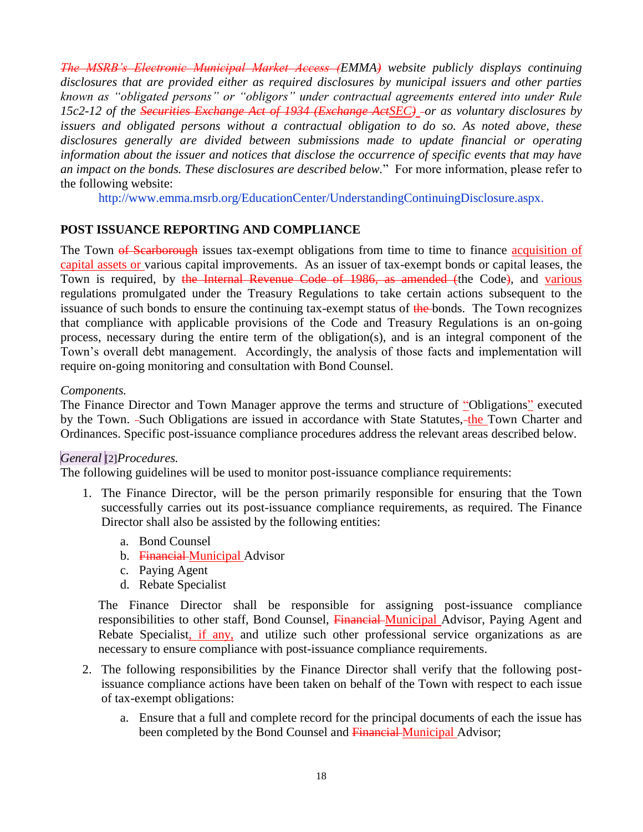*The MSRB's Electronic Municipal Market Access (EMMA) website publicly displays continuing disclosures that are provided either as required disclosures by municipal issuers and other parties known as "obligated persons" or "obligors" under contractual agreements entered into under Rule 15c2-12 of the Securities Exchange Act of 1934 (Exchange ActSEC) or as voluntary disclosures by issuers and obligated persons without a contractual obligation to do so. As noted above, these disclosures generally are divided between submissions made to update financial or operating information about the issuer and notices that disclose the occurrence of specific events that may have an impact on the bonds. These disclosures are described below.*" For more information, please refer to the following website:

http://www.emma.msrb.org/EducationCenter/UnderstandingContinuingDisclosure.aspx.

### **POST ISSUANCE REPORTING AND COMPLIANCE**

The Town of Searborough issues tax-exempt obligations from time to time to finance acquisition of capital assets or various capital improvements. As an issuer of tax-exempt bonds or capital leases, the Town is required, by the Internal Revenue Code of 1986, as amended (the Code), and various regulations promulgated under the Treasury Regulations to take certain actions subsequent to the issuance of such bonds to ensure the continuing tax-exempt status of the bonds. The Town recognizes that compliance with applicable provisions of the Code and Treasury Regulations is an on-going process, necessary during the entire term of the obligation(s), and is an integral component of the Town's overall debt management. Accordingly, the analysis of those facts and implementation will require on-going monitoring and consultation with Bond Counsel.

### *Components.*

The Finance Director and Town Manager approve the terms and structure of "Obligations" executed by the Town. -Such Obligations are issued in accordance with State Statutes, -the Town Charter and Ordinances. Specific post-issuance compliance procedures address the relevant areas described below.

### *General* [2]*Procedures.*

The following guidelines will be used to monitor post-issuance compliance requirements:

- 1. The Finance Director, will be the person primarily responsible for ensuring that the Town successfully carries out its post-issuance compliance requirements, as required. The Finance Director shall also be assisted by the following entities:
	- a. Bond Counsel
	- b. Financial Municipal Advisor
	- c. Paying Agent
	- d. Rebate Specialist

The Finance Director shall be responsible for assigning post-issuance compliance responsibilities to other staff, Bond Counsel, Financial Municipal Advisor, Paying Agent and Rebate Specialist, if any, and utilize such other professional service organizations as are necessary to ensure compliance with post-issuance compliance requirements.

- 2. The following responsibilities by the Finance Director shall verify that the following postissuance compliance actions have been taken on behalf of the Town with respect to each issue of tax-exempt obligations:
	- a. Ensure that a full and complete record for the principal documents of each the issue has been completed by the Bond Counsel and Financial Municipal Advisor;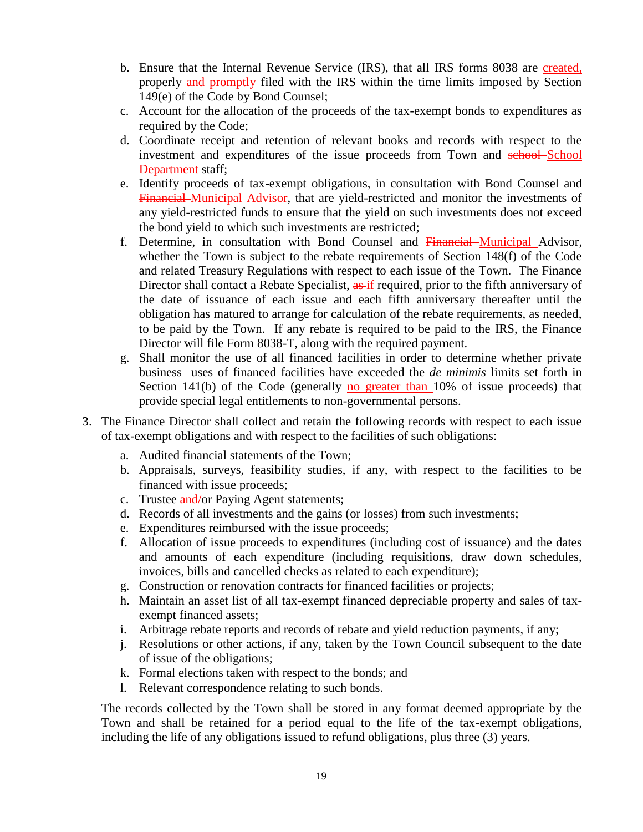- b. Ensure that the Internal Revenue Service (IRS), that all IRS forms 8038 are created, properly and promptly filed with the IRS within the time limits imposed by Section 149(e) of the Code by Bond Counsel;
- c. Account for the allocation of the proceeds of the tax-exempt bonds to expenditures as required by the Code;
- d. Coordinate receipt and retention of relevant books and records with respect to the investment and expenditures of the issue proceeds from Town and school-School Department staff;
- e. Identify proceeds of tax-exempt obligations, in consultation with Bond Counsel and Financial Municipal Advisor, that are yield-restricted and monitor the investments of any yield-restricted funds to ensure that the yield on such investments does not exceed the bond yield to which such investments are restricted;
- f. Determine, in consultation with Bond Counsel and Financial Municipal Advisor, whether the Town is subject to the rebate requirements of Section 148(f) of the Code and related Treasury Regulations with respect to each issue of the Town. The Finance Director shall contact a Rebate Specialist, as if required, prior to the fifth anniversary of the date of issuance of each issue and each fifth anniversary thereafter until the obligation has matured to arrange for calculation of the rebate requirements, as needed, to be paid by the Town. If any rebate is required to be paid to the IRS, the Finance Director will file Form 8038-T, along with the required payment.
- g. Shall monitor the use of all financed facilities in order to determine whether private business uses of financed facilities have exceeded the *de minimis* limits set forth in Section 141(b) of the Code (generally no greater than  $10\%$  of issue proceeds) that provide special legal entitlements to non-governmental persons.
- 3. The Finance Director shall collect and retain the following records with respect to each issue of tax-exempt obligations and with respect to the facilities of such obligations:
	- a. Audited financial statements of the Town;
	- b. Appraisals, surveys, feasibility studies, if any, with respect to the facilities to be financed with issue proceeds;
	- c. Trustee and/or Paying Agent statements;
	- d. Records of all investments and the gains (or losses) from such investments;
	- e. Expenditures reimbursed with the issue proceeds;
	- f. Allocation of issue proceeds to expenditures (including cost of issuance) and the dates and amounts of each expenditure (including requisitions, draw down schedules, invoices, bills and cancelled checks as related to each expenditure);
	- g. Construction or renovation contracts for financed facilities or projects;
	- h. Maintain an asset list of all tax-exempt financed depreciable property and sales of taxexempt financed assets;
	- i. Arbitrage rebate reports and records of rebate and yield reduction payments, if any;
	- j. Resolutions or other actions, if any, taken by the Town Council subsequent to the date of issue of the obligations;
	- k. Formal elections taken with respect to the bonds; and
	- l. Relevant correspondence relating to such bonds.

The records collected by the Town shall be stored in any format deemed appropriate by the Town and shall be retained for a period equal to the life of the tax-exempt obligations, including the life of any obligations issued to refund obligations, plus three (3) years.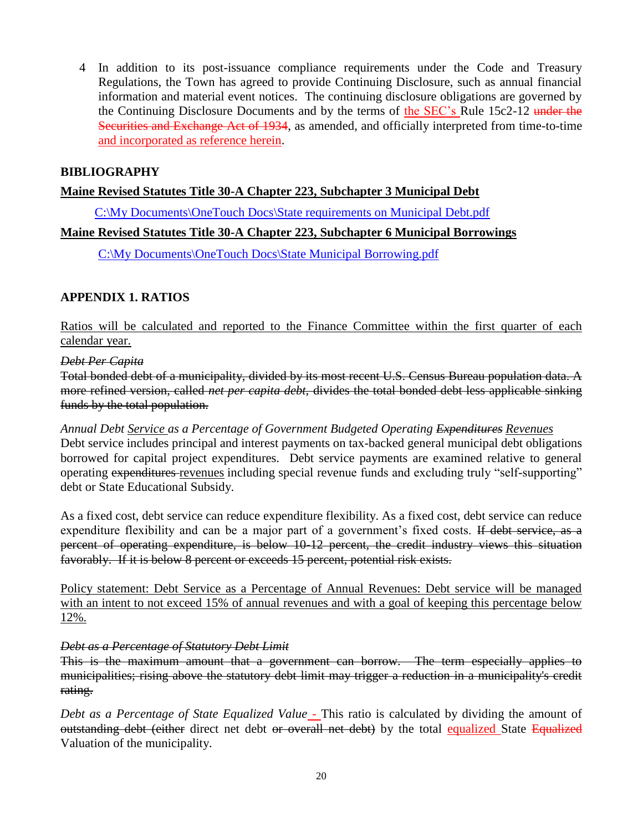4 In addition to its post-issuance compliance requirements under the Code and Treasury Regulations, the Town has agreed to provide Continuing Disclosure, such as annual financial information and material event notices. The continuing disclosure obligations are governed by the Continuing Disclosure Documents and by the terms of the SEC's Rule 15c2-12 under the Securities and Exchange Act of 1934, as amended, and officially interpreted from time-to-time and incorporated as reference herein.

### **BIBLIOGRAPHY**

#### **Maine Revised Statutes Title 30-A Chapter 223, Subchapter 3 Municipal Debt**

[C:\My Documents\OneTouch Docs\State requirements on Municipal Debt.pdf](about:blank)

### **Maine Revised Statutes Title 30-A Chapter 223, Subchapter 6 Municipal Borrowings**

[C:\My Documents\OneTouch Docs\State Municipal Borrowing.pdf](about:blank)

### **APPENDIX 1. RATIOS**

Ratios will be calculated and reported to the Finance Committee within the first quarter of each calendar year.

#### *Debt Per Capita*

Total bonded debt of a municipality, divided by its most recent U.S. Census Bureau population data. A more refined version, called *net per capita debt,* divides the total bonded debt less applicable sinking funds by the total population.

*Annual Debt Service as a Percentage of Government Budgeted Operating Expenditures Revenues* Debt service includes principal and interest payments on tax-backed general municipal debt obligations borrowed for capital project expenditures. Debt service payments are examined relative to general operating expenditures revenues including special revenue funds and excluding truly "self-supporting" debt or State Educational Subsidy.

As a fixed cost, debt service can reduce expenditure flexibility. As a fixed cost, debt service can reduce expenditure flexibility and can be a major part of a government's fixed costs. If debt service, as a percent of operating expenditure, is below 10-12 percent, the credit industry views this situation favorably. If it is below 8 percent or exceeds 15 percent, potential risk exists.

Policy statement: Debt Service as a Percentage of Annual Revenues: Debt service will be managed with an intent to not exceed 15% of annual revenues and with a goal of keeping this percentage below 12%.

#### *Debt as a Percentage of Statutory Debt Limit*

This is the maximum amount that a government can borrow. The term especially applies to municipalities; rising above the statutory debt limit may trigger a reduction in a municipality's credit rating.

*Debt as a Percentage of State Equalized Value* - This ratio is calculated by dividing the amount of outstanding debt (either direct net debt or overall net debt) by the total equalized State Equalized Valuation of the municipality.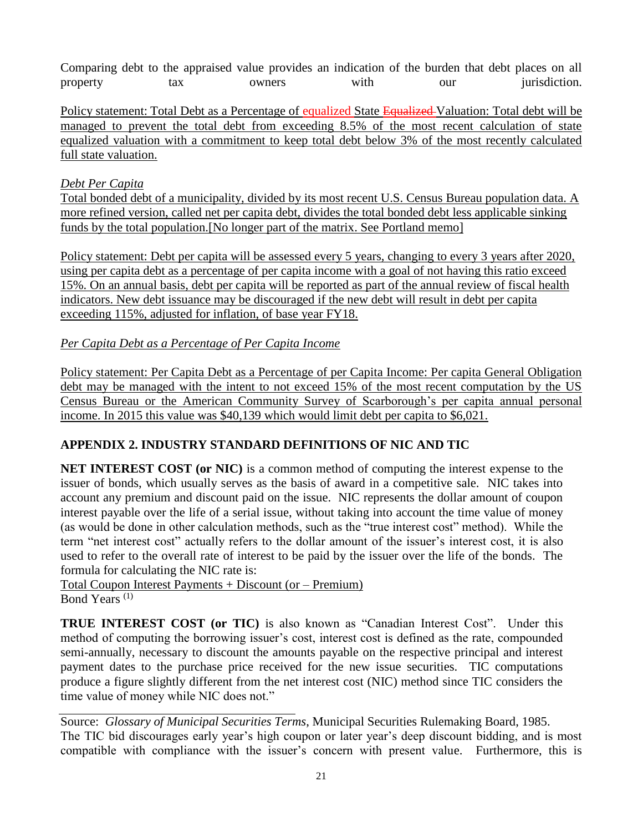Comparing debt to the appraised value provides an indication of the burden that debt places on all property tax owners with our jurisdiction.

Policy statement: Total Debt as a Percentage of equalized State Equalized Valuation: Total debt will be managed to prevent the total debt from exceeding 8.5% of the most recent calculation of state equalized valuation with a commitment to keep total debt below 3% of the most recently calculated full state valuation.

### *Debt Per Capita*

Total bonded debt of a municipality, divided by its most recent U.S. Census Bureau population data. A more refined version, called net per capita debt, divides the total bonded debt less applicable sinking funds by the total population.[No longer part of the matrix. See Portland memo]

Policy statement: Debt per capita will be assessed every 5 years, changing to every 3 years after 2020, using per capita debt as a percentage of per capita income with a goal of not having this ratio exceed 15%. On an annual basis, debt per capita will be reported as part of the annual review of fiscal health indicators. New debt issuance may be discouraged if the new debt will result in debt per capita exceeding 115%, adjusted for inflation, of base year FY18.

### *Per Capita Debt as a Percentage of Per Capita Income*

Policy statement: Per Capita Debt as a Percentage of per Capita Income: Per capita General Obligation debt may be managed with the intent to not exceed 15% of the most recent computation by the US Census Bureau or the American Community Survey of Scarborough's per capita annual personal income. In 2015 this value was \$40,139 which would limit debt per capita to \$6,021.

### **APPENDIX 2. INDUSTRY STANDARD DEFINITIONS OF NIC AND TIC**

**NET INTEREST COST (or NIC)** is a common method of computing the interest expense to the issuer of bonds, which usually serves as the basis of award in a competitive sale. NIC takes into account any premium and discount paid on the issue. NIC represents the dollar amount of coupon interest payable over the life of a serial issue, without taking into account the time value of money (as would be done in other calculation methods, such as the "true interest cost" method). While the term "net interest cost" actually refers to the dollar amount of the issuer's interest cost, it is also used to refer to the overall rate of interest to be paid by the issuer over the life of the bonds. The formula for calculating the NIC rate is:

Total Coupon Interest Payments + Discount (or – Premium) Bond Years (1)

**TRUE INTEREST COST (or TIC)** is also known as "Canadian Interest Cost". Under this method of computing the borrowing issuer's cost, interest cost is defined as the rate, compounded semi-annually, necessary to discount the amounts payable on the respective principal and interest payment dates to the purchase price received for the new issue securities. TIC computations produce a figure slightly different from the net interest cost (NIC) method since TIC considers the time value of money while NIC does not."

Source: *Glossary of Municipal Securities Terms*, Municipal Securities Rulemaking Board, 1985. The TIC bid discourages early year's high coupon or later year's deep discount bidding, and is most compatible with compliance with the issuer's concern with present value. Furthermore, this is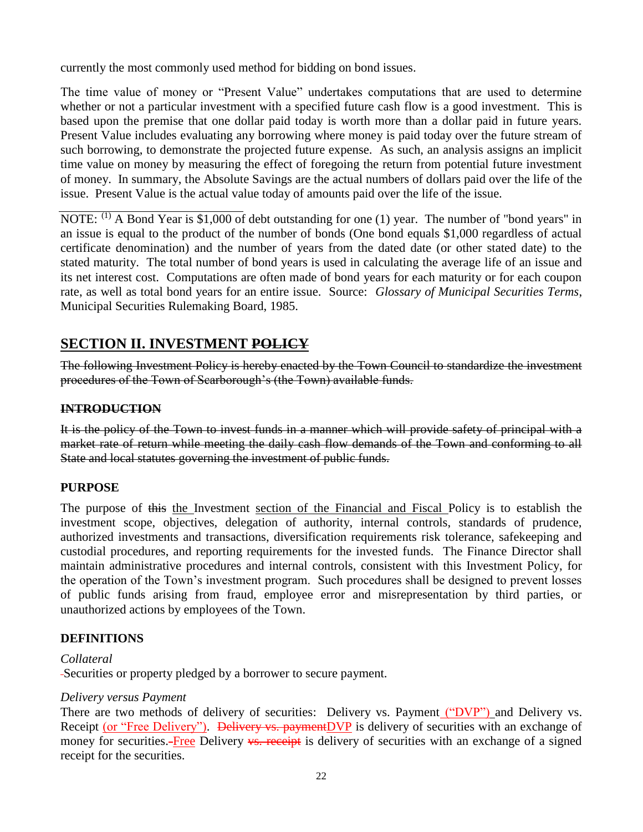currently the most commonly used method for bidding on bond issues.

The time value of money or "Present Value" undertakes computations that are used to determine whether or not a particular investment with a specified future cash flow is a good investment. This is based upon the premise that one dollar paid today is worth more than a dollar paid in future years. Present Value includes evaluating any borrowing where money is paid today over the future stream of such borrowing, to demonstrate the projected future expense. As such, an analysis assigns an implicit time value on money by measuring the effect of foregoing the return from potential future investment of money. In summary, the Absolute Savings are the actual numbers of dollars paid over the life of the issue. Present Value is the actual value today of amounts paid over the life of the issue.

NOTE:  $^{(1)}$  A Bond Year is \$1,000 of debt outstanding for one (1) year. The number of "bond years" in an issue is equal to the product of the number of bonds (One bond equals \$1,000 regardless of actual certificate denomination) and the number of years from the dated date (or other stated date) to the stated maturity. The total number of bond years is used in calculating the average life of an issue and its net interest cost. Computations are often made of bond years for each maturity or for each coupon rate, as well as total bond years for an entire issue. Source: *Glossary of Municipal Securities Terms*, Municipal Securities Rulemaking Board, 1985.

### **SECTION II. INVESTMENT POLICY**

The following Investment Policy is hereby enacted by the Town Council to standardize the investment procedures of the Town of Scarborough's (the Town) available funds.

### **INTRODUCTION**

It is the policy of the Town to invest funds in a manner which will provide safety of principal with a market rate of return while meeting the daily cash flow demands of the Town and conforming to all State and local statutes governing the investment of public funds.

### **PURPOSE**

The purpose of this the Investment section of the Financial and Fiscal Policy is to establish the investment scope, objectives, delegation of authority, internal controls, standards of prudence, authorized investments and transactions, diversification requirements risk tolerance, safekeeping and custodial procedures, and reporting requirements for the invested funds. The Finance Director shall maintain administrative procedures and internal controls, consistent with this Investment Policy, for the operation of the Town's investment program. Such procedures shall be designed to prevent losses of public funds arising from fraud, employee error and misrepresentation by third parties, or unauthorized actions by employees of the Town.

### **DEFINITIONS**

### *Collateral*

Securities or property pledged by a borrower to secure payment.

### *Delivery versus Payment*

There are two methods of delivery of securities: Delivery vs. Payment ("DVP") and Delivery vs. Receipt (or "Free Delivery"). <del>Delivery vs. payment</del>DVP is delivery of securities with an exchange of money for securities.-**Free Delivery <del>vs. receipt</del>** is delivery of securities with an exchange of a signed receipt for the securities.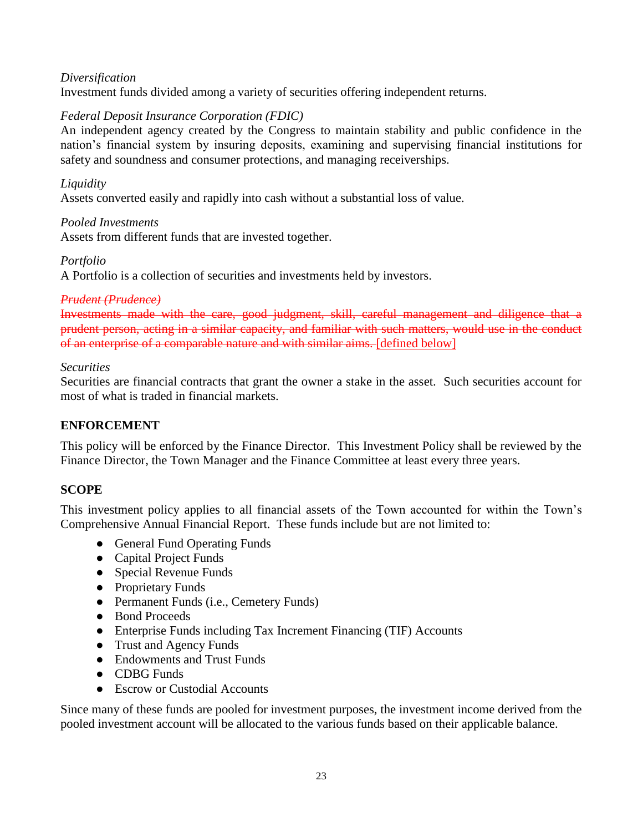### *Diversification*

Investment funds divided among a variety of securities offering independent returns.

### *Federal Deposit Insurance Corporation (FDIC)*

An independent agency created by the Congress to maintain stability and public confidence in the nation's financial system by insuring deposits, examining and supervising financial institutions for safety and soundness and consumer protections, and managing receiverships.

### *Liquidity*

Assets converted easily and rapidly into cash without a substantial loss of value.

### *Pooled Investments* Assets from different funds that are invested together.

### *Portfolio*

A Portfolio is a collection of securities and investments held by investors.

### *Prudent (Prudence)*

Investments made with the care, good judgment, skill, careful management and diligence that a prudent person, acting in a similar capacity, and familiar with such matters, would use in the conduct of an enterprise of a comparable nature and with similar aims. [defined below]

### *Securities*

Securities are financial contracts that grant the owner a stake in the asset. Such securities account for most of what is traded in financial markets.

### **ENFORCEMENT**

This policy will be enforced by the Finance Director. This Investment Policy shall be reviewed by the Finance Director, the Town Manager and the Finance Committee at least every three years.

### **SCOPE**

This investment policy applies to all financial assets of the Town accounted for within the Town's Comprehensive Annual Financial Report. These funds include but are not limited to:

- General Fund Operating Funds
- Capital Project Funds
- Special Revenue Funds
- Proprietary Funds
- Permanent Funds (i.e., Cemetery Funds)
- Bond Proceeds
- Enterprise Funds including Tax Increment Financing (TIF) Accounts
- Trust and Agency Funds
- Endowments and Trust Funds
- CDBG Funds
- Escrow or Custodial Accounts

Since many of these funds are pooled for investment purposes, the investment income derived from the pooled investment account will be allocated to the various funds based on their applicable balance.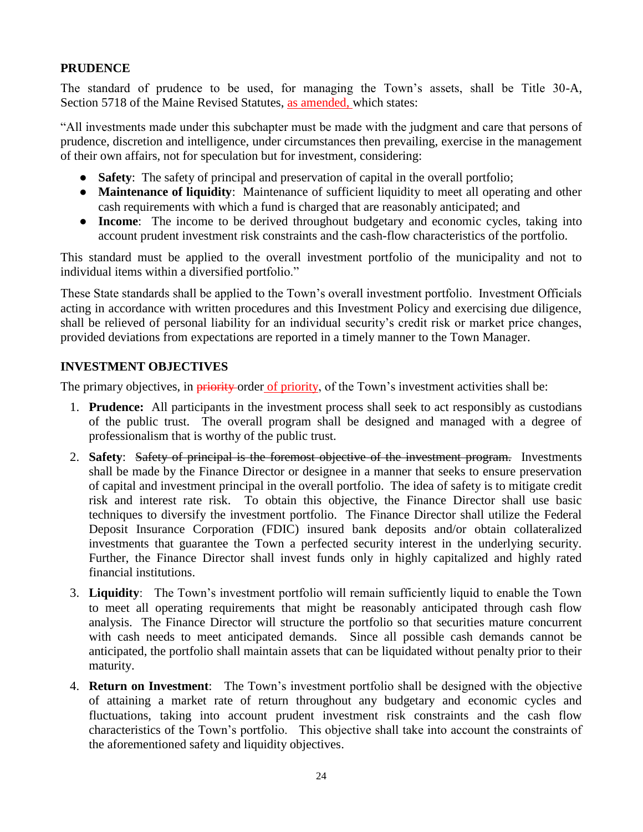### **PRUDENCE**

The standard of prudence to be used, for managing the Town's assets, shall be Title 30-A, Section 5718 of the Maine Revised Statutes, as amended, which states:

"All investments made under this subchapter must be made with the judgment and care that persons of prudence, discretion and intelligence, under circumstances then prevailing, exercise in the management of their own affairs, not for speculation but for investment, considering:

- **Safety**: The safety of principal and preservation of capital in the overall portfolio;
- **Maintenance of liquidity**: Maintenance of sufficient liquidity to meet all operating and other cash requirements with which a fund is charged that are reasonably anticipated; and
- **Income**: The income to be derived throughout budgetary and economic cycles, taking into account prudent investment risk constraints and the cash-flow characteristics of the portfolio.

This standard must be applied to the overall investment portfolio of the municipality and not to individual items within a diversified portfolio."

These State standards shall be applied to the Town's overall investment portfolio. Investment Officials acting in accordance with written procedures and this Investment Policy and exercising due diligence, shall be relieved of personal liability for an individual security's credit risk or market price changes, provided deviations from expectations are reported in a timely manner to the Town Manager.

### **INVESTMENT OBJECTIVES**

The primary objectives, in priority-order of priority, of the Town's investment activities shall be:

- 1. **Prudence:** All participants in the investment process shall seek to act responsibly as custodians of the public trust. The overall program shall be designed and managed with a degree of professionalism that is worthy of the public trust.
- 2. **Safety**: Safety of principal is the foremost objective of the investment program. Investments shall be made by the Finance Director or designee in a manner that seeks to ensure preservation of capital and investment principal in the overall portfolio. The idea of safety is to mitigate credit risk and interest rate risk. To obtain this objective, the Finance Director shall use basic techniques to diversify the investment portfolio. The Finance Director shall utilize the Federal Deposit Insurance Corporation (FDIC) insured bank deposits and/or obtain collateralized investments that guarantee the Town a perfected security interest in the underlying security. Further, the Finance Director shall invest funds only in highly capitalized and highly rated financial institutions.
- 3. **Liquidity**: The Town's investment portfolio will remain sufficiently liquid to enable the Town to meet all operating requirements that might be reasonably anticipated through cash flow analysis. The Finance Director will structure the portfolio so that securities mature concurrent with cash needs to meet anticipated demands. Since all possible cash demands cannot be anticipated, the portfolio shall maintain assets that can be liquidated without penalty prior to their maturity.
- 4. **Return on Investment**: The Town's investment portfolio shall be designed with the objective of attaining a market rate of return throughout any budgetary and economic cycles and fluctuations, taking into account prudent investment risk constraints and the cash flow characteristics of the Town's portfolio. This objective shall take into account the constraints of the aforementioned safety and liquidity objectives.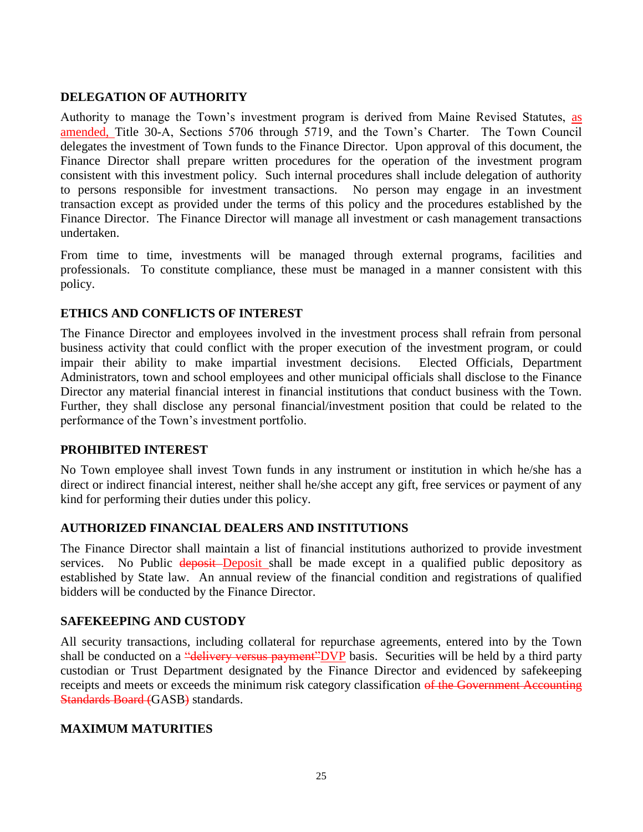### **DELEGATION OF AUTHORITY**

Authority to manage the Town's investment program is derived from Maine Revised Statutes, as amended, Title 30-A, Sections 5706 through 5719, and the Town's Charter. The Town Council delegates the investment of Town funds to the Finance Director. Upon approval of this document, the Finance Director shall prepare written procedures for the operation of the investment program consistent with this investment policy. Such internal procedures shall include delegation of authority to persons responsible for investment transactions. No person may engage in an investment transaction except as provided under the terms of this policy and the procedures established by the Finance Director. The Finance Director will manage all investment or cash management transactions undertaken.

From time to time, investments will be managed through external programs, facilities and professionals. To constitute compliance, these must be managed in a manner consistent with this policy.

### **ETHICS AND CONFLICTS OF INTEREST**

The Finance Director and employees involved in the investment process shall refrain from personal business activity that could conflict with the proper execution of the investment program, or could impair their ability to make impartial investment decisions. Elected Officials, Department Administrators, town and school employees and other municipal officials shall disclose to the Finance Director any material financial interest in financial institutions that conduct business with the Town. Further, they shall disclose any personal financial/investment position that could be related to the performance of the Town's investment portfolio.

### **PROHIBITED INTEREST**

No Town employee shall invest Town funds in any instrument or institution in which he/she has a direct or indirect financial interest, neither shall he/she accept any gift, free services or payment of any kind for performing their duties under this policy.

### **AUTHORIZED FINANCIAL DEALERS AND INSTITUTIONS**

The Finance Director shall maintain a list of financial institutions authorized to provide investment services. No Public **deposit** Deposit shall be made except in a qualified public depository as established by State law. An annual review of the financial condition and registrations of qualified bidders will be conducted by the Finance Director.

### **SAFEKEEPING AND CUSTODY**

All security transactions, including collateral for repurchase agreements, entered into by the Town shall be conducted on a "<del>delivery versus payment</del>"DVP basis. Securities will be held by a third party custodian or Trust Department designated by the Finance Director and evidenced by safekeeping receipts and meets or exceeds the minimum risk category classification of the Government Accounting Standards Board (GASB) standards.

### **MAXIMUM MATURITIES**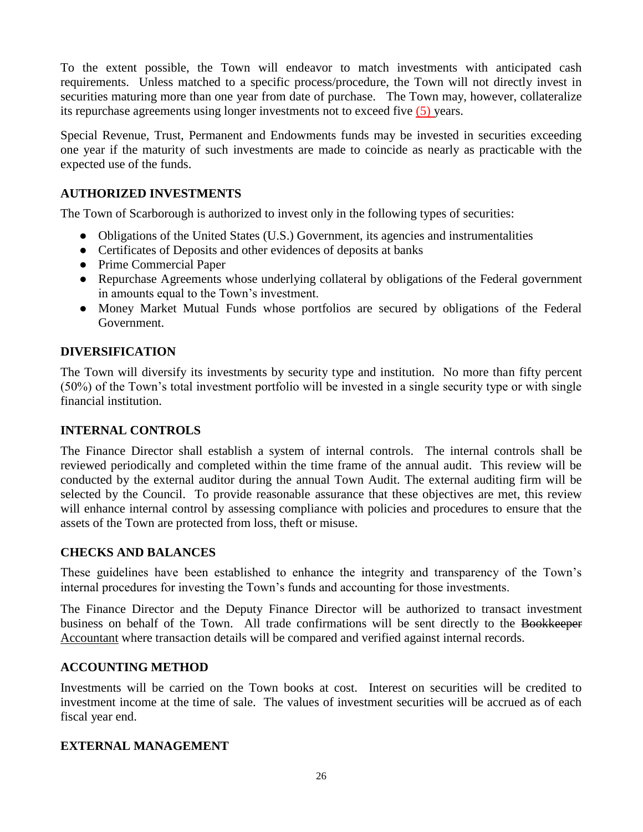To the extent possible, the Town will endeavor to match investments with anticipated cash requirements. Unless matched to a specific process/procedure, the Town will not directly invest in securities maturing more than one year from date of purchase. The Town may, however, collateralize its repurchase agreements using longer investments not to exceed five (5) years.

Special Revenue, Trust, Permanent and Endowments funds may be invested in securities exceeding one year if the maturity of such investments are made to coincide as nearly as practicable with the expected use of the funds.

### **AUTHORIZED INVESTMENTS**

The Town of Scarborough is authorized to invest only in the following types of securities:

- Obligations of the United States (U.S.) Government, its agencies and instrumentalities
- Certificates of Deposits and other evidences of deposits at banks
- Prime Commercial Paper
- Repurchase Agreements whose underlying collateral by obligations of the Federal government in amounts equal to the Town's investment.
- Money Market Mutual Funds whose portfolios are secured by obligations of the Federal Government.

### **DIVERSIFICATION**

The Town will diversify its investments by security type and institution. No more than fifty percent (50%) of the Town's total investment portfolio will be invested in a single security type or with single financial institution.

### **INTERNAL CONTROLS**

The Finance Director shall establish a system of internal controls. The internal controls shall be reviewed periodically and completed within the time frame of the annual audit. This review will be conducted by the external auditor during the annual Town Audit. The external auditing firm will be selected by the Council. To provide reasonable assurance that these objectives are met, this review will enhance internal control by assessing compliance with policies and procedures to ensure that the assets of the Town are protected from loss, theft or misuse.

### **CHECKS AND BALANCES**

These guidelines have been established to enhance the integrity and transparency of the Town's internal procedures for investing the Town's funds and accounting for those investments.

The Finance Director and the Deputy Finance Director will be authorized to transact investment business on behalf of the Town. All trade confirmations will be sent directly to the Bookkeeper Accountant where transaction details will be compared and verified against internal records.

### **ACCOUNTING METHOD**

Investments will be carried on the Town books at cost. Interest on securities will be credited to investment income at the time of sale. The values of investment securities will be accrued as of each fiscal year end.

### **EXTERNAL MANAGEMENT**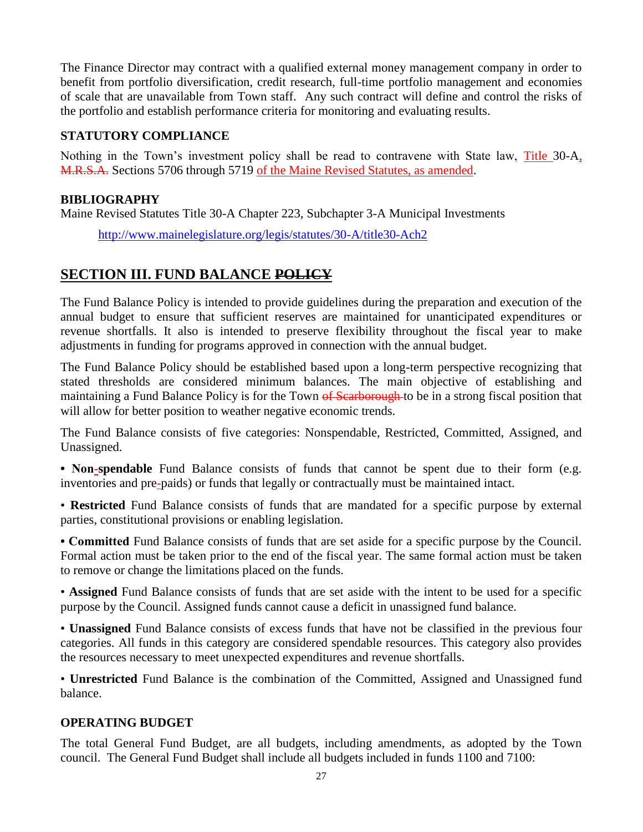The Finance Director may contract with a qualified external money management company in order to benefit from portfolio diversification, credit research, full-time portfolio management and economies of scale that are unavailable from Town staff. Any such contract will define and control the risks of the portfolio and establish performance criteria for monitoring and evaluating results.

### **STATUTORY COMPLIANCE**

Nothing in the Town's investment policy shall be read to contravene with State law, Title 30-A, M.R.S.A. Sections 5706 through 5719 of the Maine Revised Statutes, as amended.

### **BIBLIOGRAPHY**

Maine Revised Statutes Title 30-A Chapter 223, Subchapter 3-A Municipal Investments

<http://www.mainelegislature.org/legis/statutes/30-A/title30-Ach2>

### **SECTION III. FUND BALANCE POLICY**

The Fund Balance Policy is intended to provide guidelines during the preparation and execution of the annual budget to ensure that sufficient reserves are maintained for unanticipated expenditures or revenue shortfalls. It also is intended to preserve flexibility throughout the fiscal year to make adjustments in funding for programs approved in connection with the annual budget.

The Fund Balance Policy should be established based upon a long-term perspective recognizing that stated thresholds are considered minimum balances. The main objective of establishing and maintaining a Fund Balance Policy is for the Town of Searborough to be in a strong fiscal position that will allow for better position to weather negative economic trends.

The Fund Balance consists of five categories: Nonspendable, Restricted, Committed, Assigned, and Unassigned.

**• Non-spendable** Fund Balance consists of funds that cannot be spent due to their form (e.g. inventories and pre-paids) or funds that legally or contractually must be maintained intact.

• **Restricted** Fund Balance consists of funds that are mandated for a specific purpose by external parties, constitutional provisions or enabling legislation.

**• Committed** Fund Balance consists of funds that are set aside for a specific purpose by the Council. Formal action must be taken prior to the end of the fiscal year. The same formal action must be taken to remove or change the limitations placed on the funds.

• **Assigned** Fund Balance consists of funds that are set aside with the intent to be used for a specific purpose by the Council. Assigned funds cannot cause a deficit in unassigned fund balance.

• **Unassigned** Fund Balance consists of excess funds that have not be classified in the previous four categories. All funds in this category are considered spendable resources. This category also provides the resources necessary to meet unexpected expenditures and revenue shortfalls.

• **Unrestricted** Fund Balance is the combination of the Committed, Assigned and Unassigned fund balance.

### **OPERATING BUDGET**

The total General Fund Budget, are all budgets, including amendments, as adopted by the Town council. The General Fund Budget shall include all budgets included in funds 1100 and 7100: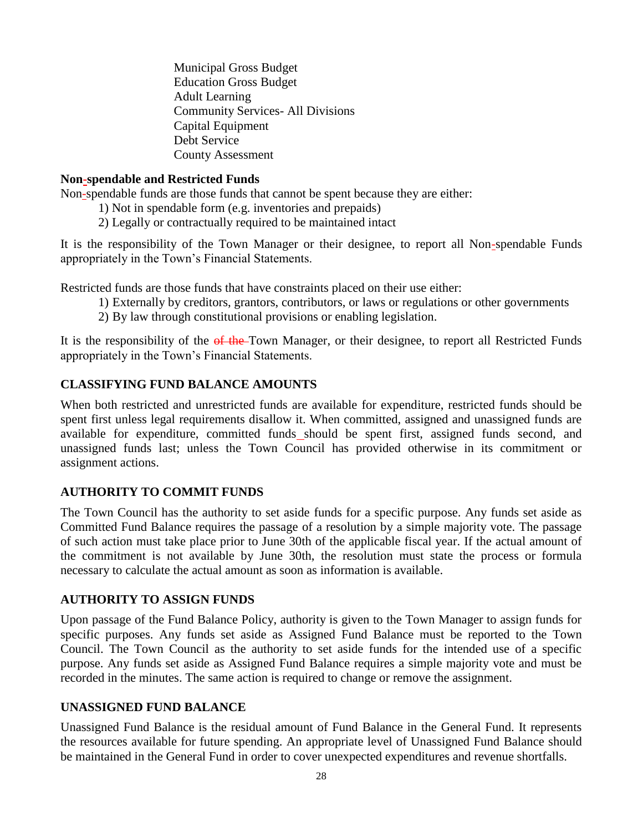Municipal Gross Budget Education Gross Budget Adult Learning Community Services- All Divisions Capital Equipment Debt Service County Assessment

### **Non-spendable and Restricted Funds**

Non-spendable funds are those funds that cannot be spent because they are either:

- 1) Not in spendable form (e.g. inventories and prepaids)
- 2) Legally or contractually required to be maintained intact

It is the responsibility of the Town Manager or their designee, to report all Non-spendable Funds appropriately in the Town's Financial Statements.

Restricted funds are those funds that have constraints placed on their use either:

- 1) Externally by creditors, grantors, contributors, or laws or regulations or other governments
- 2) By law through constitutional provisions or enabling legislation.

It is the responsibility of the  $\theta$  the Town Manager, or their designee, to report all Restricted Funds appropriately in the Town's Financial Statements.

### **CLASSIFYING FUND BALANCE AMOUNTS**

When both restricted and unrestricted funds are available for expenditure, restricted funds should be spent first unless legal requirements disallow it. When committed, assigned and unassigned funds are available for expenditure, committed funds should be spent first, assigned funds second, and unassigned funds last; unless the Town Council has provided otherwise in its commitment or assignment actions.

### **AUTHORITY TO COMMIT FUNDS**

The Town Council has the authority to set aside funds for a specific purpose. Any funds set aside as Committed Fund Balance requires the passage of a resolution by a simple majority vote. The passage of such action must take place prior to June 30th of the applicable fiscal year. If the actual amount of the commitment is not available by June 30th, the resolution must state the process or formula necessary to calculate the actual amount as soon as information is available.

### **AUTHORITY TO ASSIGN FUNDS**

Upon passage of the Fund Balance Policy, authority is given to the Town Manager to assign funds for specific purposes. Any funds set aside as Assigned Fund Balance must be reported to the Town Council. The Town Council as the authority to set aside funds for the intended use of a specific purpose. Any funds set aside as Assigned Fund Balance requires a simple majority vote and must be recorded in the minutes. The same action is required to change or remove the assignment.

### **UNASSIGNED FUND BALANCE**

Unassigned Fund Balance is the residual amount of Fund Balance in the General Fund. It represents the resources available for future spending. An appropriate level of Unassigned Fund Balance should be maintained in the General Fund in order to cover unexpected expenditures and revenue shortfalls.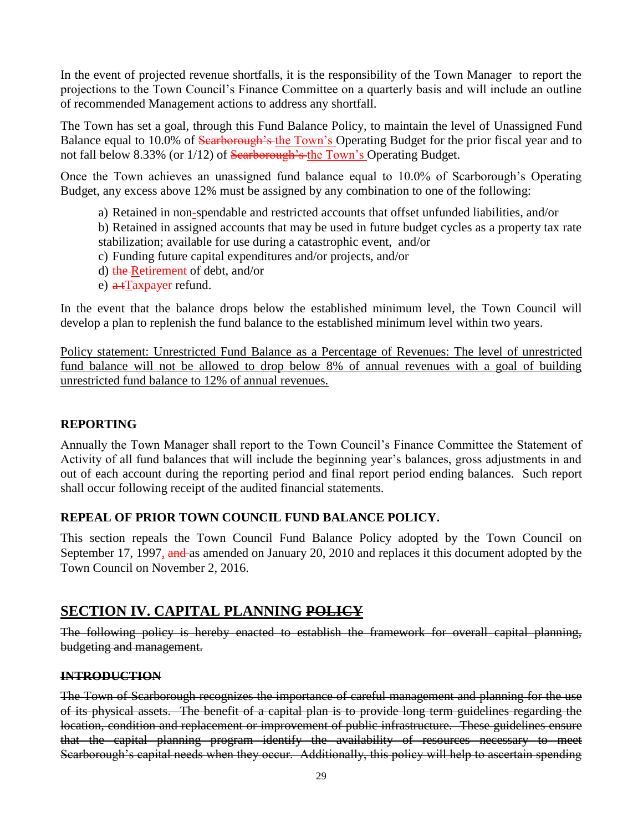In the event of projected revenue shortfalls, it is the responsibility of the Town Manager to report the projections to the Town Council's Finance Committee on a quarterly basis and will include an outline of recommended Management actions to address any shortfall.

The Town has set a goal, through this Fund Balance Policy, to maintain the level of Unassigned Fund Balance equal to 10.0% of Searborough's the Town's Operating Budget for the prior fiscal year and to not fall below 8.33% (or 1/12) of Searborough's the Town's Operating Budget.

Once the Town achieves an unassigned fund balance equal to 10.0% of Scarborough's Operating Budget, any excess above 12% must be assigned by any combination to one of the following:

a) Retained in non-spendable and restricted accounts that offset unfunded liabilities, and/or

b) Retained in assigned accounts that may be used in future budget cycles as a property tax rate stabilization; available for use during a catastrophic event, and/or

- c) Funding future capital expenditures and/or projects, and/or
- d) the Retirement of debt, and/or
- e)  $\alpha$  tTaxpayer refund.

In the event that the balance drops below the established minimum level, the Town Council will develop a plan to replenish the fund balance to the established minimum level within two years.

Policy statement: Unrestricted Fund Balance as a Percentage of Revenues: The level of unrestricted fund balance will not be allowed to drop below 8% of annual revenues with a goal of building unrestricted fund balance to 12% of annual revenues.

### **REPORTING**

Annually the Town Manager shall report to the Town Council's Finance Committee the Statement of Activity of all fund balances that will include the beginning year's balances, gross adjustments in and out of each account during the reporting period and final report period ending balances. Such report shall occur following receipt of the audited financial statements.

### **REPEAL OF PRIOR TOWN COUNCIL FUND BALANCE POLICY.**

This section repeals the Town Council Fund Balance Policy adopted by the Town Council on September 17, 1997, and as amended on January 20, 2010 and replaces it this document adopted by the Town Council on November 2, 2016.

### **SECTION IV. CAPITAL PLANNING POLICY**

The following policy is hereby enacted to establish the framework for overall capital planning, budgeting and management.

### **INTRODUCTION**

The Town of Scarborough recognizes the importance of careful management and planning for the use of its physical assets. The benefit of a capital plan is to provide long term guidelines regarding the location, condition and replacement or improvement of public infrastructure. These guidelines ensure that the capital planning program identify the availability of resources necessary to meet Scarborough's capital needs when they occur. Additionally, this policy will help to ascertain spending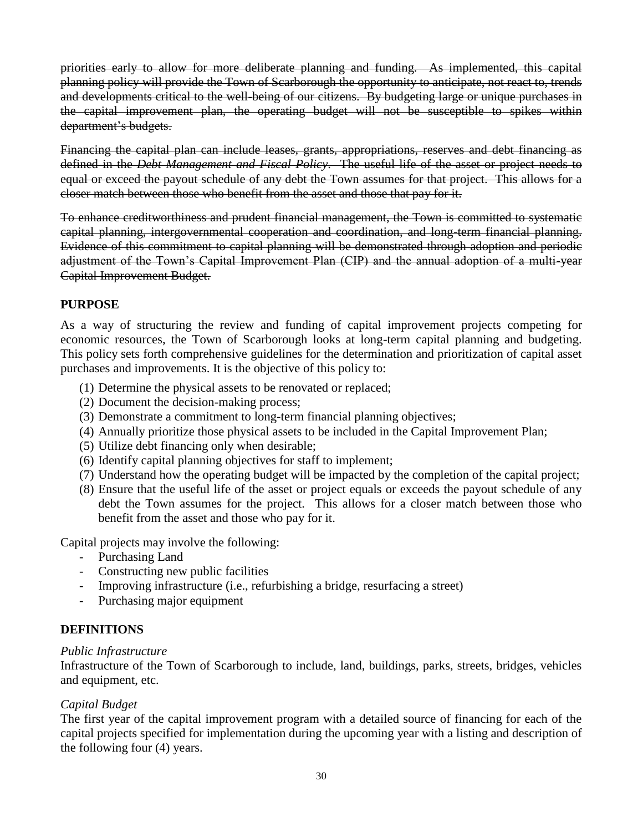priorities early to allow for more deliberate planning and funding. As implemented, this capital planning policy will provide the Town of Scarborough the opportunity to anticipate, not react to, trends and developments critical to the well-being of our citizens. By budgeting large or unique purchases in the capital improvement plan, the operating budget will not be susceptible to spikes within department's budgets.

Financing the capital plan can include leases, grants, appropriations, reserves and debt financing as defined in the *Debt Management and Fiscal Policy*. The useful life of the asset or project needs to equal or exceed the payout schedule of any debt the Town assumes for that project. This allows for a closer match between those who benefit from the asset and those that pay for it.

To enhance creditworthiness and prudent financial management, the Town is committed to systematic capital planning, intergovernmental cooperation and coordination, and long-term financial planning. Evidence of this commitment to capital planning will be demonstrated through adoption and periodic adjustment of the Town's Capital Improvement Plan (CIP) and the annual adoption of a multi-year Capital Improvement Budget.

### **PURPOSE**

As a way of structuring the review and funding of capital improvement projects competing for economic resources, the Town of Scarborough looks at long-term capital planning and budgeting. This policy sets forth comprehensive guidelines for the determination and prioritization of capital asset purchases and improvements. It is the objective of this policy to:

- (1) Determine the physical assets to be renovated or replaced;
- (2) Document the decision-making process;
- (3) Demonstrate a commitment to long-term financial planning objectives;
- (4) Annually prioritize those physical assets to be included in the Capital Improvement Plan;
- (5) Utilize debt financing only when desirable;
- (6) Identify capital planning objectives for staff to implement;
- (7) Understand how the operating budget will be impacted by the completion of the capital project;
- (8) Ensure that the useful life of the asset or project equals or exceeds the payout schedule of any debt the Town assumes for the project. This allows for a closer match between those who benefit from the asset and those who pay for it.

Capital projects may involve the following:

- Purchasing Land
- Constructing new public facilities
- Improving infrastructure (i.e., refurbishing a bridge, resurfacing a street)
- Purchasing major equipment

### **DEFINITIONS**

### *Public Infrastructure*

Infrastructure of the Town of Scarborough to include, land, buildings, parks, streets, bridges, vehicles and equipment, etc.

### *Capital Budget*

The first year of the capital improvement program with a detailed source of financing for each of the capital projects specified for implementation during the upcoming year with a listing and description of the following four (4) years.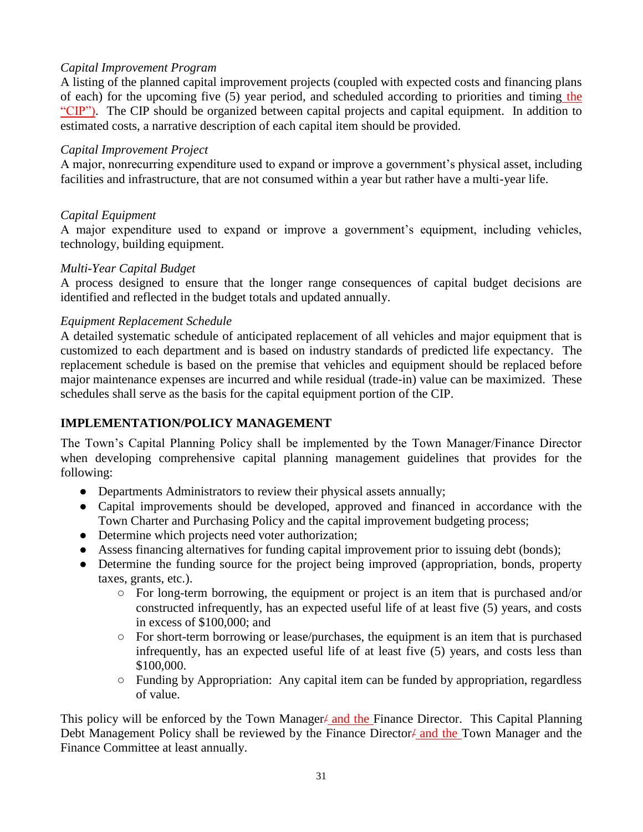### *Capital Improvement Program*

A listing of the planned capital improvement projects (coupled with expected costs and financing plans of each) for the upcoming five (5) year period, and scheduled according to priorities and timing the "CIP"). The CIP should be organized between capital projects and capital equipment. In addition to estimated costs, a narrative description of each capital item should be provided.

### *Capital Improvement Project*

A major, nonrecurring expenditure used to expand or improve a government's physical asset, including facilities and infrastructure, that are not consumed within a year but rather have a multi-year life.

### *Capital Equipment*

A major expenditure used to expand or improve a government's equipment, including vehicles, technology, building equipment.

### *Multi-Year Capital Budget*

A process designed to ensure that the longer range consequences of capital budget decisions are identified and reflected in the budget totals and updated annually.

### *Equipment Replacement Schedule*

A detailed systematic schedule of anticipated replacement of all vehicles and major equipment that is customized to each department and is based on industry standards of predicted life expectancy. The replacement schedule is based on the premise that vehicles and equipment should be replaced before major maintenance expenses are incurred and while residual (trade-in) value can be maximized. These schedules shall serve as the basis for the capital equipment portion of the CIP.

### **IMPLEMENTATION/POLICY MANAGEMENT**

The Town's Capital Planning Policy shall be implemented by the Town Manager/Finance Director when developing comprehensive capital planning management guidelines that provides for the following:

- Departments Administrators to review their physical assets annually;
- Capital improvements should be developed, approved and financed in accordance with the Town Charter and Purchasing Policy and the capital improvement budgeting process;
- Determine which projects need voter authorization;
- Assess financing alternatives for funding capital improvement prior to issuing debt (bonds);
- Determine the funding source for the project being improved (appropriation, bonds, property taxes, grants, etc.).
	- For long-term borrowing, the equipment or project is an item that is purchased and/or constructed infrequently, has an expected useful life of at least five (5) years, and costs in excess of \$100,000; and
	- For short-term borrowing or lease/purchases, the equipment is an item that is purchased infrequently, has an expected useful life of at least five (5) years, and costs less than \$100,000.
	- Funding by Appropriation: Any capital item can be funded by appropriation, regardless of value.

This policy will be enforced by the Town Manager/ and the Finance Director. This Capital Planning Debt Management Policy shall be reviewed by the Finance Director  $\ell$  and the Town Manager and the Finance Committee at least annually.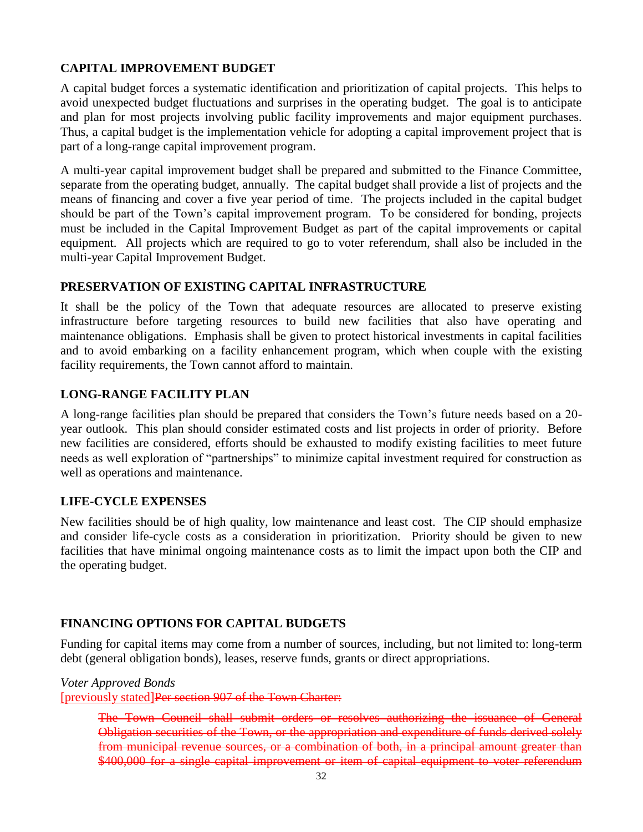### **CAPITAL IMPROVEMENT BUDGET**

A capital budget forces a systematic identification and prioritization of capital projects. This helps to avoid unexpected budget fluctuations and surprises in the operating budget. The goal is to anticipate and plan for most projects involving public facility improvements and major equipment purchases. Thus, a capital budget is the implementation vehicle for adopting a capital improvement project that is part of a long-range capital improvement program.

A multi-year capital improvement budget shall be prepared and submitted to the Finance Committee, separate from the operating budget, annually. The capital budget shall provide a list of projects and the means of financing and cover a five year period of time. The projects included in the capital budget should be part of the Town's capital improvement program. To be considered for bonding, projects must be included in the Capital Improvement Budget as part of the capital improvements or capital equipment. All projects which are required to go to voter referendum, shall also be included in the multi-year Capital Improvement Budget.

### **PRESERVATION OF EXISTING CAPITAL INFRASTRUCTURE**

It shall be the policy of the Town that adequate resources are allocated to preserve existing infrastructure before targeting resources to build new facilities that also have operating and maintenance obligations. Emphasis shall be given to protect historical investments in capital facilities and to avoid embarking on a facility enhancement program, which when couple with the existing facility requirements, the Town cannot afford to maintain.

### **LONG-RANGE FACILITY PLAN**

A long-range facilities plan should be prepared that considers the Town's future needs based on a 20 year outlook. This plan should consider estimated costs and list projects in order of priority. Before new facilities are considered, efforts should be exhausted to modify existing facilities to meet future needs as well exploration of "partnerships" to minimize capital investment required for construction as well as operations and maintenance.

### **LIFE-CYCLE EXPENSES**

New facilities should be of high quality, low maintenance and least cost. The CIP should emphasize and consider life-cycle costs as a consideration in prioritization. Priority should be given to new facilities that have minimal ongoing maintenance costs as to limit the impact upon both the CIP and the operating budget.

### **FINANCING OPTIONS FOR CAPITAL BUDGETS**

Funding for capital items may come from a number of sources, including, but not limited to: long-term debt (general obligation bonds), leases, reserve funds, grants or direct appropriations.

*Voter Approved Bonds*

[previously stated]Per section 907 of the Town Charter:

The Town Council shall submit orders or resolves authorizing the issuance of General Obligation securities of the Town, or the appropriation and expenditure of funds derived solely from municipal revenue sources, or a combination of both, in a principal amount greater than \$400,000 for a single capital improvement or item of capital equipment to voter referendum